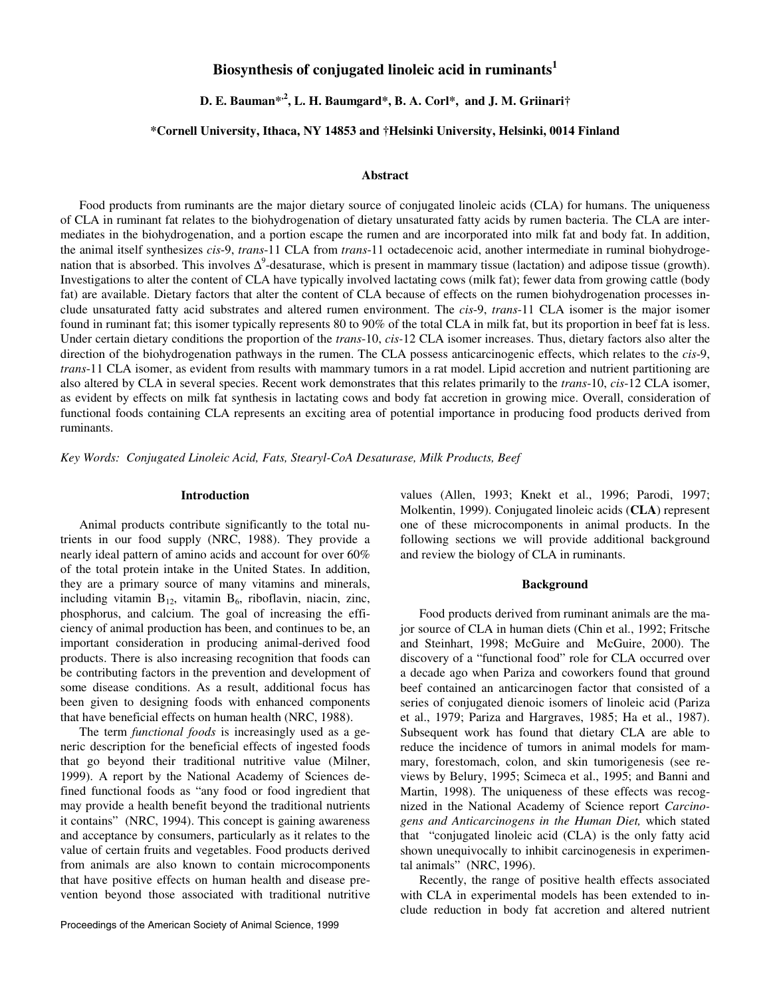# **Biosynthesis of conjugated linoleic acid in ruminants<sup>1</sup>**

**D. E. Bauman\*,2, L. H. Baumgard\*, B. A. Corl\*, and J. M. Griinari†** 

# **\*Cornell University, Ithaca, NY 14853 and †Helsinki University, Helsinki, 0014 Finland**

## **Abstract**

Food products from ruminants are the major dietary source of conjugated linoleic acids (CLA) for humans. The uniqueness of CLA in ruminant fat relates to the biohydrogenation of dietary unsaturated fatty acids by rumen bacteria. The CLA are intermediates in the biohydrogenation, and a portion escape the rumen and are incorporated into milk fat and body fat. In addition, the animal itself synthesizes *cis*-9, *trans*-11 CLA from *trans*-11 octadecenoic acid, another intermediate in ruminal biohydrogenation that is absorbed. This involves  $\Delta^9$ -desaturase, which is present in mammary tissue (lactation) and adipose tissue (growth). Investigations to alter the content of CLA have typically involved lactating cows (milk fat); fewer data from growing cattle (body fat) are available. Dietary factors that alter the content of CLA because of effects on the rumen biohydrogenation processes include unsaturated fatty acid substrates and altered rumen environment. The *cis*-9, *trans*-11 CLA isomer is the major isomer found in ruminant fat; this isomer typically represents 80 to 90% of the total CLA in milk fat, but its proportion in beef fat is less. Under certain dietary conditions the proportion of the *trans*-10, *cis-*12 CLA isomer increases. Thus, dietary factors also alter the direction of the biohydrogenation pathways in the rumen. The CLA possess anticarcinogenic effects, which relates to the *cis*-9, *trans*-11 CLA isomer, as evident from results with mammary tumors in a rat model. Lipid accretion and nutrient partitioning are also altered by CLA in several species. Recent work demonstrates that this relates primarily to the *trans*-10, *cis*-12 CLA isomer, as evident by effects on milk fat synthesis in lactating cows and body fat accretion in growing mice. Overall, consideration of functional foods containing CLA represents an exciting area of potential importance in producing food products derived from ruminants.

*Key Words: Conjugated Linoleic Acid, Fats, Stearyl-CoA Desaturase, Milk Products, Beef*

## **Introduction**

Animal products contribute significantly to the total nutrients in our food supply (NRC, 1988). They provide a nearly ideal pattern of amino acids and account for over 60% of the total protein intake in the United States. In addition, they are a primary source of many vitamins and minerals, including vitamin  $B_{12}$ , vitamin  $B_6$ , riboflavin, niacin, zinc, phosphorus, and calcium. The goal of increasing the efficiency of animal production has been, and continues to be, an important consideration in producing animal-derived food products. There is also increasing recognition that foods can be contributing factors in the prevention and development of some disease conditions. As a result, additional focus has been given to designing foods with enhanced components that have beneficial effects on human health (NRC, 1988).

The term *functional foods* is increasingly used as a generic description for the beneficial effects of ingested foods that go beyond their traditional nutritive value (Milner, 1999). A report by the National Academy of Sciences defined functional foods as "any food or food ingredient that may provide a health benefit beyond the traditional nutrients it contains" (NRC, 1994). This concept is gaining awareness and acceptance by consumers, particularly as it relates to the value of certain fruits and vegetables. Food products derived from animals are also known to contain microcomponents that have positive effects on human health and disease prevention beyond those associated with traditional nutritive values (Allen, 1993; Knekt et al., 1996; Parodi, 1997; Molkentin, 1999). Conjugated linoleic acids (**CLA**) represent one of these microcomponents in animal products. In the following sections we will provide additional background and review the biology of CLA in ruminants.

## **Background**

Food products derived from ruminant animals are the major source of CLA in human diets (Chin et al., 1992; Fritsche and Steinhart, 1998; McGuire and McGuire, 2000). The discovery of a "functional food" role for CLA occurred over a decade ago when Pariza and coworkers found that ground beef contained an anticarcinogen factor that consisted of a series of conjugated dienoic isomers of linoleic acid (Pariza et al., 1979; Pariza and Hargraves, 1985; Ha et al., 1987). Subsequent work has found that dietary CLA are able to reduce the incidence of tumors in animal models for mammary, forestomach, colon, and skin tumorigenesis (see reviews by Belury, 1995; Scimeca et al., 1995; and Banni and Martin, 1998). The uniqueness of these effects was recognized in the National Academy of Science report *Carcinogens and Anticarcinogens in the Human Diet,* which stated that "conjugated linoleic acid (CLA) is the only fatty acid shown unequivocally to inhibit carcinogenesis in experimental animals" (NRC, 1996).

Recently, the range of positive health effects associated with CLA in experimental models has been extended to include reduction in body fat accretion and altered nutrient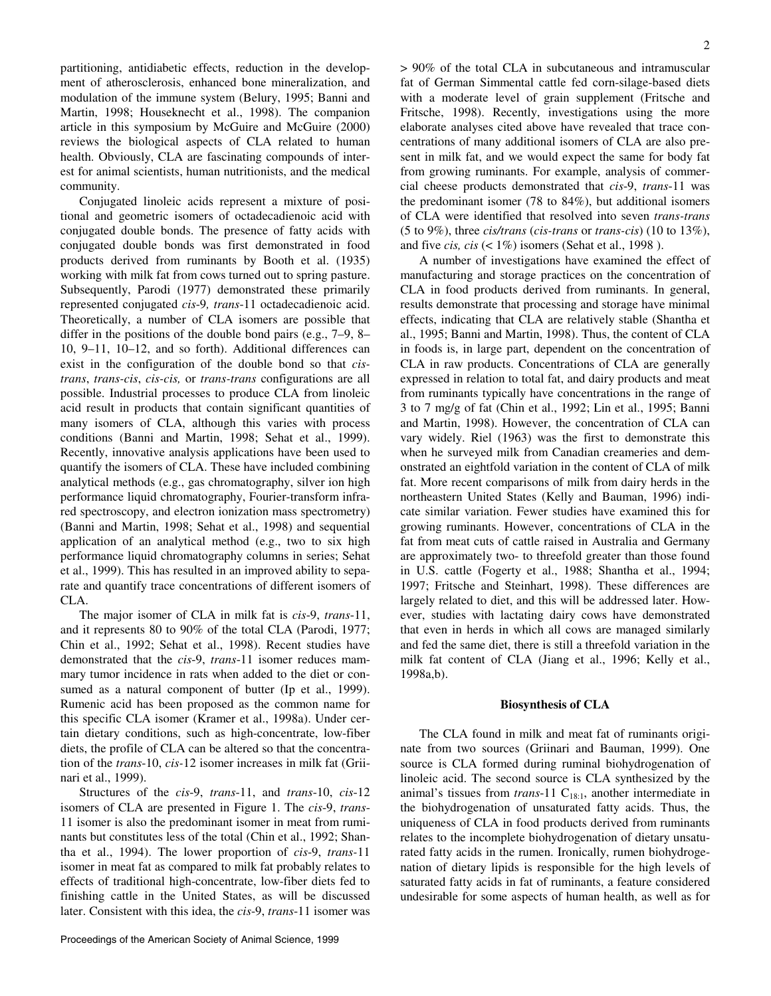partitioning, antidiabetic effects, reduction in the development of atherosclerosis, enhanced bone mineralization, and modulation of the immune system (Belury, 1995; Banni and Martin, 1998; Houseknecht et al., 1998). The companion article in this symposium by McGuire and McGuire (2000) reviews the biological aspects of CLA related to human health. Obviously, CLA are fascinating compounds of interest for animal scientists, human nutritionists, and the medical community.

Conjugated linoleic acids represent a mixture of positional and geometric isomers of octadecadienoic acid with conjugated double bonds. The presence of fatty acids with conjugated double bonds was first demonstrated in food products derived from ruminants by Booth et al. (1935) working with milk fat from cows turned out to spring pasture. Subsequently, Parodi (1977) demonstrated these primarily represented conjugated *cis*-9*, trans*-11 octadecadienoic acid. Theoretically, a number of CLA isomers are possible that differ in the positions of the double bond pairs (e.g., 7–9, 8– 10, 9–11, 10–12, and so forth). Additional differences can exist in the configuration of the double bond so that *cistrans*, *trans-cis*, *cis-cis,* or *trans-trans* configurations are all possible. Industrial processes to produce CLA from linoleic acid result in products that contain significant quantities of many isomers of CLA, although this varies with process conditions (Banni and Martin, 1998; Sehat et al., 1999). Recently, innovative analysis applications have been used to quantify the isomers of CLA. These have included combining analytical methods (e.g., gas chromatography, silver ion high performance liquid chromatography, Fourier-transform infrared spectroscopy, and electron ionization mass spectrometry) (Banni and Martin, 1998; Sehat et al., 1998) and sequential application of an analytical method (e.g., two to six high performance liquid chromatography columns in series; Sehat et al., 1999). This has resulted in an improved ability to separate and quantify trace concentrations of different isomers of CLA.

The major isomer of CLA in milk fat is *cis*-9, *trans*-11, and it represents 80 to 90% of the total CLA (Parodi, 1977; Chin et al., 1992; Sehat et al., 1998). Recent studies have demonstrated that the *cis*-9, *trans*-11 isomer reduces mammary tumor incidence in rats when added to the diet or consumed as a natural component of butter (Ip et al., 1999). Rumenic acid has been proposed as the common name for this specific CLA isomer (Kramer et al., 1998a). Under certain dietary conditions, such as high-concentrate, low-fiber diets, the profile of CLA can be altered so that the concentration of the *trans*-10, *cis-*12 isomer increases in milk fat (Griinari et al., 1999).

Structures of the *cis*-9, *trans*-11, and *trans*-10, *cis*-12 isomers of CLA are presented in Figure 1. The *cis*-9, *trans*-11 isomer is also the predominant isomer in meat from ruminants but constitutes less of the total (Chin et al., 1992; Shantha et al., 1994). The lower proportion of *cis*-9, *trans-*11 isomer in meat fat as compared to milk fat probably relates to effects of traditional high-concentrate, low-fiber diets fed to finishing cattle in the United States, as will be discussed later. Consistent with this idea, the *cis*-9, *trans*-11 isomer was

> 90% of the total CLA in subcutaneous and intramuscular fat of German Simmental cattle fed corn-silage-based diets with a moderate level of grain supplement (Fritsche and Fritsche, 1998). Recently, investigations using the more elaborate analyses cited above have revealed that trace concentrations of many additional isomers of CLA are also present in milk fat, and we would expect the same for body fat from growing ruminants. For example, analysis of commercial cheese products demonstrated that *cis*-9, *trans*-11 was the predominant isomer (78 to 84%), but additional isomers of CLA were identified that resolved into seven *trans-trans* (5 to 9%), three *cis/trans* (*cis-trans* or *trans-cis*) (10 to 13%), and five *cis, cis*  $(< 1\%)$  isomers (Sehat et al., 1998).

A number of investigations have examined the effect of manufacturing and storage practices on the concentration of CLA in food products derived from ruminants. In general, results demonstrate that processing and storage have minimal effects, indicating that CLA are relatively stable (Shantha et al., 1995; Banni and Martin, 1998). Thus, the content of CLA in foods is, in large part, dependent on the concentration of CLA in raw products. Concentrations of CLA are generally expressed in relation to total fat, and dairy products and meat from ruminants typically have concentrations in the range of 3 to 7 mg/g of fat (Chin et al., 1992; Lin et al., 1995; Banni and Martin, 1998). However, the concentration of CLA can vary widely. Riel (1963) was the first to demonstrate this when he surveyed milk from Canadian creameries and demonstrated an eightfold variation in the content of CLA of milk fat. More recent comparisons of milk from dairy herds in the northeastern United States (Kelly and Bauman, 1996) indicate similar variation. Fewer studies have examined this for growing ruminants. However, concentrations of CLA in the fat from meat cuts of cattle raised in Australia and Germany are approximately two- to threefold greater than those found in U.S. cattle (Fogerty et al., 1988; Shantha et al., 1994; 1997; Fritsche and Steinhart, 1998). These differences are largely related to diet, and this will be addressed later. However, studies with lactating dairy cows have demonstrated that even in herds in which all cows are managed similarly and fed the same diet, there is still a threefold variation in the milk fat content of CLA (Jiang et al., 1996; Kelly et al., 1998a,b).

#### **Biosynthesis of CLA**

The CLA found in milk and meat fat of ruminants originate from two sources (Griinari and Bauman, 1999). One source is CLA formed during ruminal biohydrogenation of linoleic acid. The second source is CLA synthesized by the animal's tissues from *trans*-11  $C_{18:1}$ , another intermediate in the biohydrogenation of unsaturated fatty acids. Thus, the uniqueness of CLA in food products derived from ruminants relates to the incomplete biohydrogenation of dietary unsaturated fatty acids in the rumen. Ironically, rumen biohydrogenation of dietary lipids is responsible for the high levels of saturated fatty acids in fat of ruminants, a feature considered undesirable for some aspects of human health, as well as for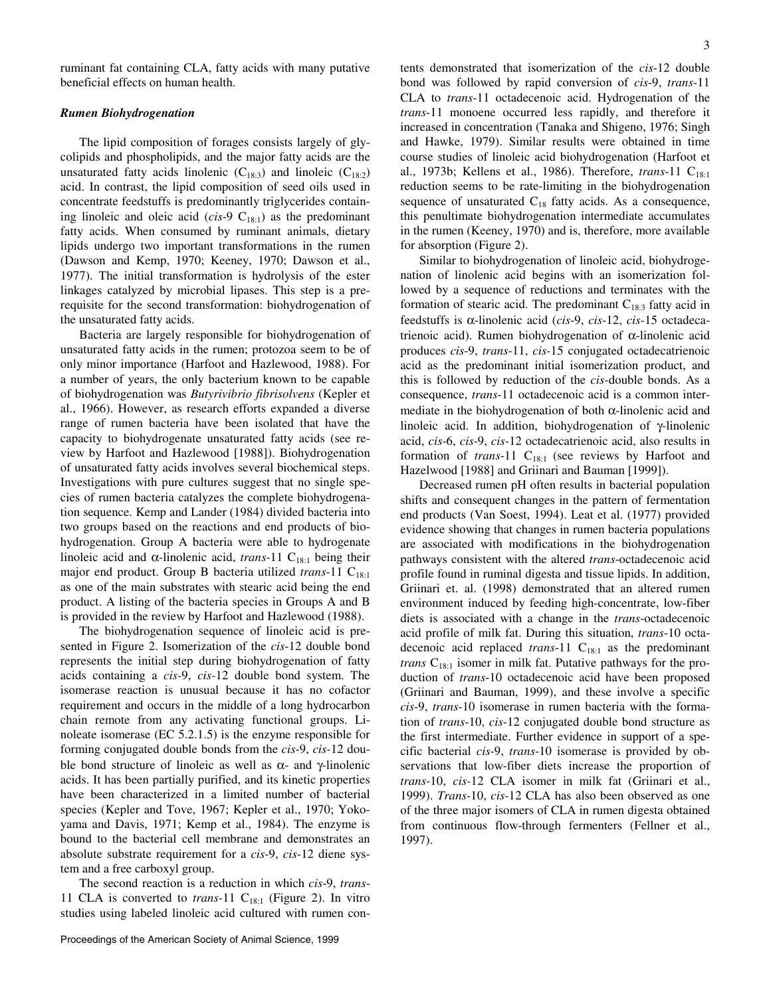ruminant fat containing CLA, fatty acids with many putative beneficial effects on human health.

### *Rumen Biohydrogenation*

The lipid composition of forages consists largely of glycolipids and phospholipids, and the major fatty acids are the unsaturated fatty acids linolenic  $(C_{18:3})$  and linoleic  $(C_{18:2})$ acid. In contrast, the lipid composition of seed oils used in concentrate feedstuffs is predominantly triglycerides containing linoleic and oleic acid ( $cis$ -9 C<sub>18:1</sub>) as the predominant fatty acids. When consumed by ruminant animals, dietary lipids undergo two important transformations in the rumen (Dawson and Kemp, 1970; Keeney, 1970; Dawson et al., 1977). The initial transformation is hydrolysis of the ester linkages catalyzed by microbial lipases. This step is a prerequisite for the second transformation: biohydrogenation of the unsaturated fatty acids.

Bacteria are largely responsible for biohydrogenation of unsaturated fatty acids in the rumen; protozoa seem to be of only minor importance (Harfoot and Hazlewood, 1988). For a number of years, the only bacterium known to be capable of biohydrogenation was *Butyrivibrio fibrisolvens* (Kepler et al., 1966). However, as research efforts expanded a diverse range of rumen bacteria have been isolated that have the capacity to biohydrogenate unsaturated fatty acids (see review by Harfoot and Hazlewood [1988]). Biohydrogenation of unsaturated fatty acids involves several biochemical steps. Investigations with pure cultures suggest that no single species of rumen bacteria catalyzes the complete biohydrogenation sequence. Kemp and Lander (1984) divided bacteria into two groups based on the reactions and end products of biohydrogenation. Group A bacteria were able to hydrogenate linoleic acid and  $\alpha$ -linolenic acid, *trans*-11 C<sub>18:1</sub> being their major end product. Group B bacteria utilized *trans*-11 C<sub>18:1</sub> as one of the main substrates with stearic acid being the end product. A listing of the bacteria species in Groups A and B is provided in the review by Harfoot and Hazlewood (1988).

The biohydrogenation sequence of linoleic acid is presented in Figure 2. Isomerization of the *cis*-12 double bond represents the initial step during biohydrogenation of fatty acids containing a *cis-*9, *cis-*12 double bond system. The isomerase reaction is unusual because it has no cofactor requirement and occurs in the middle of a long hydrocarbon chain remote from any activating functional groups. Linoleate isomerase (EC 5.2.1.5) is the enzyme responsible for forming conjugated double bonds from the *cis*-9, *cis-*12 double bond structure of linoleic as well as  $\alpha$ - and γ-linolenic acids. It has been partially purified, and its kinetic properties have been characterized in a limited number of bacterial species (Kepler and Tove, 1967; Kepler et al., 1970; Yokoyama and Davis, 1971; Kemp et al., 1984). The enzyme is bound to the bacterial cell membrane and demonstrates an absolute substrate requirement for a *cis*-9, *cis*-12 diene system and a free carboxyl group.

The second reaction is a reduction in which *cis*-9, *trans*-11 CLA is converted to *trans*-11  $C_{18:1}$  (Figure 2). In vitro studies using labeled linoleic acid cultured with rumen contents demonstrated that isomerization of the *cis*-12 double bond was followed by rapid conversion of *cis*-9, *trans*-11 CLA to *trans*-11 octadecenoic acid. Hydrogenation of the *trans*-11 monoene occurred less rapidly, and therefore it increased in concentration (Tanaka and Shigeno, 1976; Singh and Hawke, 1979). Similar results were obtained in time course studies of linoleic acid biohydrogenation (Harfoot et al., 1973b; Kellens et al., 1986). Therefore, *trans*-11 C<sub>18:1</sub> reduction seems to be rate-limiting in the biohydrogenation sequence of unsaturated  $C_{18}$  fatty acids. As a consequence, this penultimate biohydrogenation intermediate accumulates in the rumen (Keeney, 1970) and is, therefore, more available for absorption (Figure 2).

Similar to biohydrogenation of linoleic acid, biohydrogenation of linolenic acid begins with an isomerization followed by a sequence of reductions and terminates with the formation of stearic acid. The predominant  $C_{18:3}$  fatty acid in feedstuffs is α-linolenic acid (*cis*-9, *cis*-12, *cis-*15 octadecatrienoic acid). Rumen biohydrogenation of α-linolenic acid produces *cis*-9, *trans*-11, *cis-*15 conjugated octadecatrienoic acid as the predominant initial isomerization product, and this is followed by reduction of the *cis-*double bonds. As a consequence, *trans*-11 octadecenoic acid is a common intermediate in the biohydrogenation of both  $\alpha$ -linolenic acid and linoleic acid. In addition, biohydrogenation of γ-linolenic acid, *cis*-6, *cis*-9, *cis-*12 octadecatrienoic acid, also results in formation of *trans*-11 C<sub>18:1</sub> (see reviews by Harfoot and Hazelwood [1988] and Griinari and Bauman [1999]).

Decreased rumen pH often results in bacterial population shifts and consequent changes in the pattern of fermentation end products (Van Soest, 1994). Leat et al. (1977) provided evidence showing that changes in rumen bacteria populations are associated with modifications in the biohydrogenation pathways consistent with the altered *trans*-octadecenoic acid profile found in ruminal digesta and tissue lipids. In addition, Griinari et. al. (1998) demonstrated that an altered rumen environment induced by feeding high-concentrate, low-fiber diets is associated with a change in the *trans*-octadecenoic acid profile of milk fat. During this situation, *trans*-10 octadecenoic acid replaced *trans*-11  $C_{18:1}$  as the predominant *trans* C<sub>18:1</sub> isomer in milk fat. Putative pathways for the production of *trans*-10 octadecenoic acid have been proposed (Griinari and Bauman, 1999), and these involve a specific *cis*-9, *trans*-10 isomerase in rumen bacteria with the formation of *trans*-10, *cis*-12 conjugated double bond structure as the first intermediate. Further evidence in support of a specific bacterial *cis*-9, *trans*-10 isomerase is provided by observations that low-fiber diets increase the proportion of *trans*-10, *cis-*12 CLA isomer in milk fat (Griinari et al., 1999). *Trans*-10, *cis-*12 CLA has also been observed as one of the three major isomers of CLA in rumen digesta obtained from continuous flow-through fermenters (Fellner et al., 1997).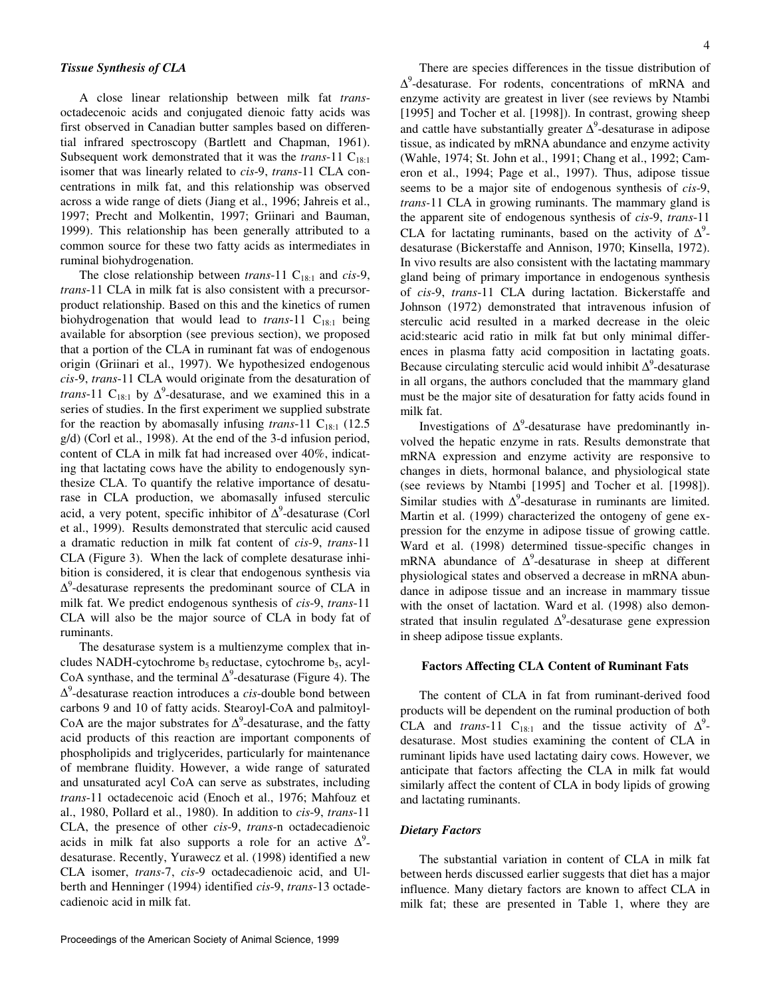# *Tissue Synthesis of CLA*

A close linear relationship between milk fat *trans*octadecenoic acids and conjugated dienoic fatty acids was first observed in Canadian butter samples based on differential infrared spectroscopy (Bartlett and Chapman, 1961). Subsequent work demonstrated that it was the *trans*-11  $C_{18:1}$ isomer that was linearly related to *cis*-9, *trans*-11 CLA concentrations in milk fat, and this relationship was observed across a wide range of diets (Jiang et al., 1996; Jahreis et al., 1997; Precht and Molkentin, 1997; Griinari and Bauman, 1999). This relationship has been generally attributed to a common source for these two fatty acids as intermediates in ruminal biohydrogenation.

The close relationship between *trans*-11 C<sub>18:1</sub> and *cis-*9, *trans*-11 CLA in milk fat is also consistent with a precursorproduct relationship. Based on this and the kinetics of rumen biohydrogenation that would lead to  $trans-11$  C<sub>18:1</sub> being available for absorption (see previous section), we proposed that a portion of the CLA in ruminant fat was of endogenous origin (Griinari et al., 1997). We hypothesized endogenous *cis-*9, *trans*-11 CLA would originate from the desaturation of *trans*-11  $C_{18:1}$  by  $\Delta^9$ -desaturase, and we examined this in a series of studies. In the first experiment we supplied substrate for the reaction by abomasally infusing *trans*-11  $C_{18+1}$  (12.5) g/d) (Corl et al., 1998). At the end of the 3-d infusion period, content of CLA in milk fat had increased over 40%, indicating that lactating cows have the ability to endogenously synthesize CLA. To quantify the relative importance of desaturase in CLA production, we abomasally infused sterculic acid, a very potent, specific inhibitor of  $\Delta^9$ -desaturase (Corl et al., 1999). Results demonstrated that sterculic acid caused a dramatic reduction in milk fat content of *cis*-9, *trans*-11 CLA (Figure 3). When the lack of complete desaturase inhibition is considered, it is clear that endogenous synthesis via  $\Delta^9$ -desaturase represents the predominant source of CLA in milk fat. We predict endogenous synthesis of *cis*-9, *trans*-11 CLA will also be the major source of CLA in body fat of ruminants.

The desaturase system is a multienzyme complex that includes NADH-cytochrome  $b_5$  reductase, cytochrome  $b_5$ , acyl-CoA synthase, and the terminal  $\Delta^9$ -desaturase (Figure 4). The ∆9 -desaturase reaction introduces a *cis*-double bond between carbons 9 and 10 of fatty acids. Stearoyl-CoA and palmitoyl-CoA are the major substrates for  $\Delta^9$ -desaturase, and the fatty acid products of this reaction are important components of phospholipids and triglycerides, particularly for maintenance of membrane fluidity. However, a wide range of saturated and unsaturated acyl CoA can serve as substrates, including *trans*-11 octadecenoic acid (Enoch et al., 1976; Mahfouz et al., 1980, Pollard et al., 1980). In addition to *cis*-9, *trans*-11 CLA, the presence of other *cis*-9, *trans*-n octadecadienoic acids in milk fat also supports a role for an active  $\Delta^9$ desaturase. Recently, Yurawecz et al. (1998) identified a new CLA isomer, *trans-*7, *cis*-9 octadecadienoic acid, and Ulberth and Henninger (1994) identified *cis*-9, *trans*-13 octadecadienoic acid in milk fat.

There are species differences in the tissue distribution of  $\Delta^9$ -desaturase. For rodents, concentrations of mRNA and enzyme activity are greatest in liver (see reviews by Ntambi [1995] and Tocher et al. [1998]). In contrast, growing sheep and cattle have substantially greater  $\Delta^9$ -desaturase in adipose tissue, as indicated by mRNA abundance and enzyme activity (Wahle, 1974; St. John et al., 1991; Chang et al., 1992; Cameron et al., 1994; Page et al., 1997). Thus, adipose tissue seems to be a major site of endogenous synthesis of *cis*-9, *trans-*11 CLA in growing ruminants. The mammary gland is the apparent site of endogenous synthesis of *cis*-9, *trans*-11 CLA for lactating ruminants, based on the activity of  $\Delta^9$ desaturase (Bickerstaffe and Annison, 1970; Kinsella, 1972). In vivo results are also consistent with the lactating mammary gland being of primary importance in endogenous synthesis of *cis*-9, *trans*-11 CLA during lactation. Bickerstaffe and Johnson (1972) demonstrated that intravenous infusion of sterculic acid resulted in a marked decrease in the oleic acid:stearic acid ratio in milk fat but only minimal differences in plasma fatty acid composition in lactating goats. Because circulating sterculic acid would inhibit  $\Delta^9$ -desaturase in all organs, the authors concluded that the mammary gland must be the major site of desaturation for fatty acids found in milk fat.

Investigations of  $\Delta^9$ -desaturase have predominantly involved the hepatic enzyme in rats. Results demonstrate that mRNA expression and enzyme activity are responsive to changes in diets, hormonal balance, and physiological state (see reviews by Ntambi [1995] and Tocher et al. [1998]). Similar studies with  $\Delta^9$ -desaturase in ruminants are limited. Martin et al. (1999) characterized the ontogeny of gene expression for the enzyme in adipose tissue of growing cattle. Ward et al. (1998) determined tissue-specific changes in mRNA abundance of  $\Delta^9$ -desaturase in sheep at different physiological states and observed a decrease in mRNA abundance in adipose tissue and an increase in mammary tissue with the onset of lactation. Ward et al. (1998) also demonstrated that insulin regulated  $\Delta^9$ -desaturase gene expression in sheep adipose tissue explants.

#### **Factors Affecting CLA Content of Ruminant Fats**

The content of CLA in fat from ruminant-derived food products will be dependent on the ruminal production of both CLA and *trans*-11 C<sub>18:1</sub> and the tissue activity of  $\Delta^9$ desaturase. Most studies examining the content of CLA in ruminant lipids have used lactating dairy cows. However, we anticipate that factors affecting the CLA in milk fat would similarly affect the content of CLA in body lipids of growing and lactating ruminants.

# *Dietary Factors*

The substantial variation in content of CLA in milk fat between herds discussed earlier suggests that diet has a major influence. Many dietary factors are known to affect CLA in milk fat; these are presented in Table 1, where they are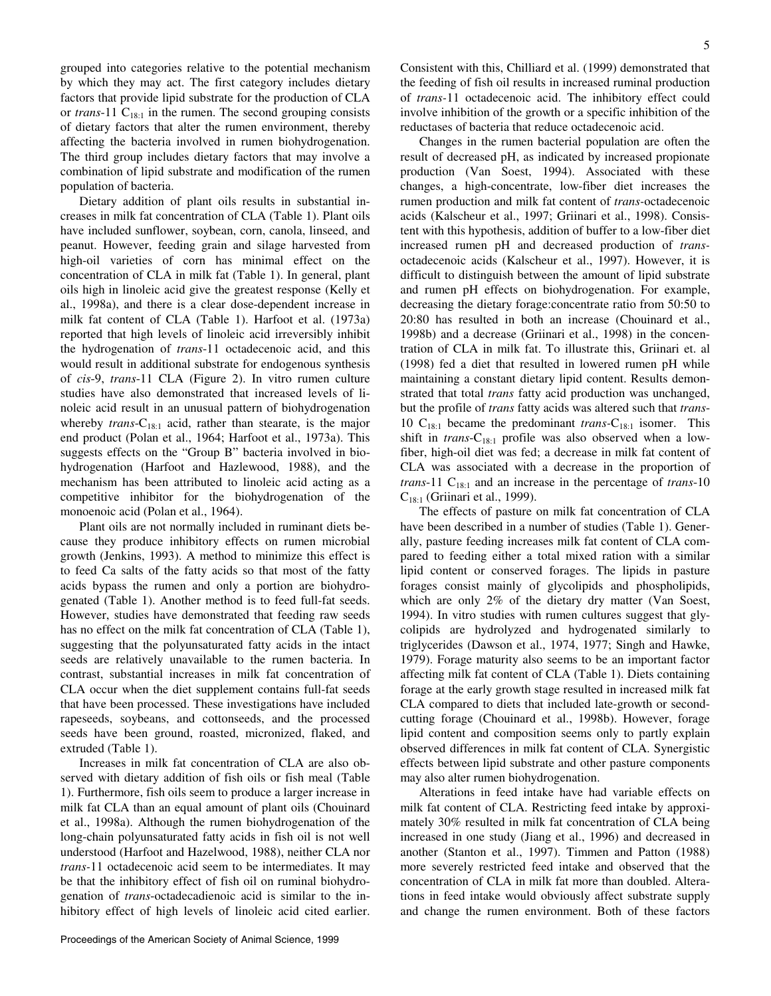grouped into categories relative to the potential mechanism by which they may act. The first category includes dietary factors that provide lipid substrate for the production of CLA or *trans*-11  $C_{18:1}$  in the rumen. The second grouping consists of dietary factors that alter the rumen environment, thereby affecting the bacteria involved in rumen biohydrogenation. The third group includes dietary factors that may involve a combination of lipid substrate and modification of the rumen population of bacteria.

Dietary addition of plant oils results in substantial increases in milk fat concentration of CLA (Table 1). Plant oils have included sunflower, soybean, corn, canola, linseed, and peanut. However, feeding grain and silage harvested from high-oil varieties of corn has minimal effect on the concentration of CLA in milk fat (Table 1). In general, plant oils high in linoleic acid give the greatest response (Kelly et al., 1998a), and there is a clear dose-dependent increase in milk fat content of CLA (Table 1). Harfoot et al. (1973a) reported that high levels of linoleic acid irreversibly inhibit the hydrogenation of *trans*-11 octadecenoic acid, and this would result in additional substrate for endogenous synthesis of *cis*-9, *trans*-11 CLA (Figure 2). In vitro rumen culture studies have also demonstrated that increased levels of linoleic acid result in an unusual pattern of biohydrogenation whereby *trans*- $C_{18:1}$  acid, rather than stearate, is the major end product (Polan et al., 1964; Harfoot et al., 1973a). This suggests effects on the "Group B" bacteria involved in biohydrogenation (Harfoot and Hazlewood, 1988), and the mechanism has been attributed to linoleic acid acting as a competitive inhibitor for the biohydrogenation of the monoenoic acid (Polan et al., 1964).

Plant oils are not normally included in ruminant diets because they produce inhibitory effects on rumen microbial growth (Jenkins, 1993). A method to minimize this effect is to feed Ca salts of the fatty acids so that most of the fatty acids bypass the rumen and only a portion are biohydrogenated (Table 1). Another method is to feed full-fat seeds. However, studies have demonstrated that feeding raw seeds has no effect on the milk fat concentration of CLA (Table 1), suggesting that the polyunsaturated fatty acids in the intact seeds are relatively unavailable to the rumen bacteria. In contrast, substantial increases in milk fat concentration of CLA occur when the diet supplement contains full-fat seeds that have been processed. These investigations have included rapeseeds, soybeans, and cottonseeds, and the processed seeds have been ground, roasted, micronized, flaked, and extruded (Table 1).

Increases in milk fat concentration of CLA are also observed with dietary addition of fish oils or fish meal (Table 1). Furthermore, fish oils seem to produce a larger increase in milk fat CLA than an equal amount of plant oils (Chouinard et al., 1998a). Although the rumen biohydrogenation of the long-chain polyunsaturated fatty acids in fish oil is not well understood (Harfoot and Hazelwood, 1988), neither CLA nor *trans-*11 octadecenoic acid seem to be intermediates. It may be that the inhibitory effect of fish oil on ruminal biohydrogenation of *trans*-octadecadienoic acid is similar to the inhibitory effect of high levels of linoleic acid cited earlier. Consistent with this, Chilliard et al. (1999) demonstrated that the feeding of fish oil results in increased ruminal production of *trans-*11 octadecenoic acid. The inhibitory effect could involve inhibition of the growth or a specific inhibition of the reductases of bacteria that reduce octadecenoic acid.

Changes in the rumen bacterial population are often the result of decreased pH, as indicated by increased propionate production (Van Soest, 1994). Associated with these changes, a high-concentrate, low-fiber diet increases the rumen production and milk fat content of *trans-*octadecenoic acids (Kalscheur et al., 1997; Griinari et al., 1998). Consistent with this hypothesis, addition of buffer to a low-fiber diet increased rumen pH and decreased production of *trans*octadecenoic acids (Kalscheur et al., 1997). However, it is difficult to distinguish between the amount of lipid substrate and rumen pH effects on biohydrogenation. For example, decreasing the dietary forage:concentrate ratio from 50:50 to 20:80 has resulted in both an increase (Chouinard et al., 1998b) and a decrease (Griinari et al., 1998) in the concentration of CLA in milk fat. To illustrate this, Griinari et. al (1998) fed a diet that resulted in lowered rumen pH while maintaining a constant dietary lipid content. Results demonstrated that total *trans* fatty acid production was unchanged, but the profile of *trans* fatty acids was altered such that *trans*-10 C18:1 became the predominant *trans-*C18:1 isomer. This shift in *trans*-C<sub>18:1</sub> profile was also observed when a lowfiber, high-oil diet was fed; a decrease in milk fat content of CLA was associated with a decrease in the proportion of *trans*-11 C<sub>18:1</sub> and an increase in the percentage of *trans*-10  $C_{18:1}$  (Griinari et al., 1999).

The effects of pasture on milk fat concentration of CLA have been described in a number of studies (Table 1). Generally, pasture feeding increases milk fat content of CLA compared to feeding either a total mixed ration with a similar lipid content or conserved forages. The lipids in pasture forages consist mainly of glycolipids and phospholipids, which are only 2% of the dietary dry matter (Van Soest, 1994). In vitro studies with rumen cultures suggest that glycolipids are hydrolyzed and hydrogenated similarly to triglycerides (Dawson et al., 1974, 1977; Singh and Hawke, 1979). Forage maturity also seems to be an important factor affecting milk fat content of CLA (Table 1). Diets containing forage at the early growth stage resulted in increased milk fat CLA compared to diets that included late-growth or secondcutting forage (Chouinard et al., 1998b). However, forage lipid content and composition seems only to partly explain observed differences in milk fat content of CLA. Synergistic effects between lipid substrate and other pasture components may also alter rumen biohydrogenation.

Alterations in feed intake have had variable effects on milk fat content of CLA. Restricting feed intake by approximately 30% resulted in milk fat concentration of CLA being increased in one study (Jiang et al., 1996) and decreased in another (Stanton et al., 1997). Timmen and Patton (1988) more severely restricted feed intake and observed that the concentration of CLA in milk fat more than doubled. Alterations in feed intake would obviously affect substrate supply and change the rumen environment. Both of these factors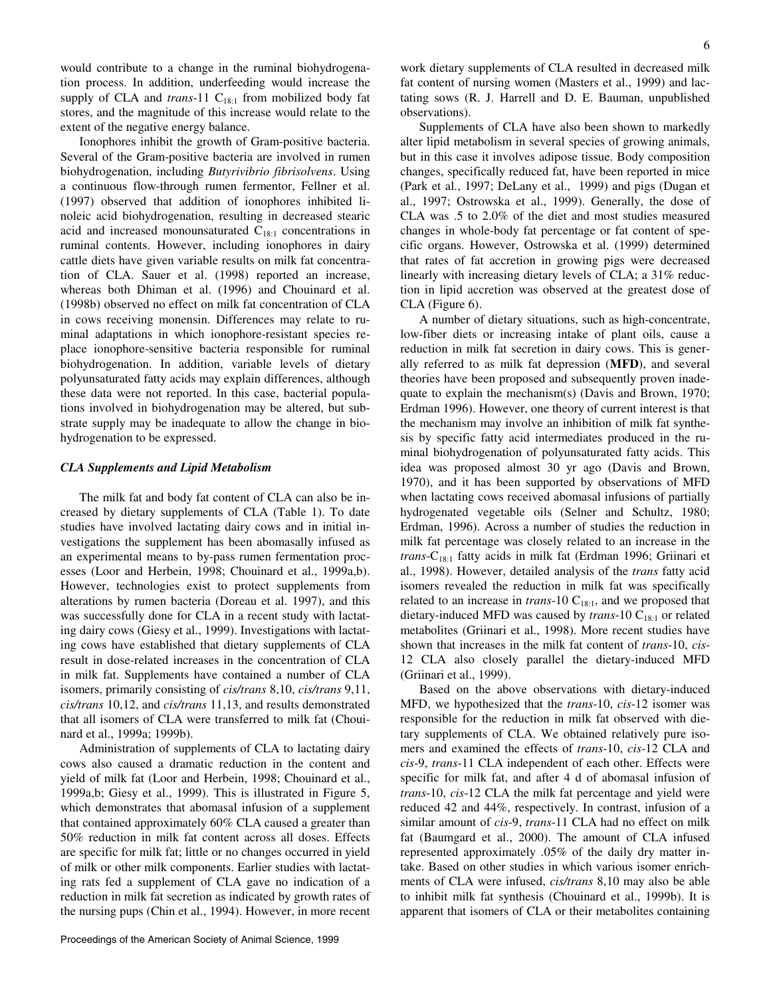would contribute to a change in the ruminal biohydrogenation process. In addition, underfeeding would increase the supply of CLA and  $trans-11$  C<sub>18:1</sub> from mobilized body fat stores, and the magnitude of this increase would relate to the extent of the negative energy balance.

Ionophores inhibit the growth of Gram-positive bacteria. Several of the Gram-positive bacteria are involved in rumen biohydrogenation, including *Butyrivibrio fibrisolvens*. Using a continuous flow-through rumen fermentor, Fellner et al. (1997) observed that addition of ionophores inhibited linoleic acid biohydrogenation, resulting in decreased stearic acid and increased monounsaturated  $C_{18:1}$  concentrations in ruminal contents. However, including ionophores in dairy cattle diets have given variable results on milk fat concentration of CLA. Sauer et al. (1998) reported an increase, whereas both Dhiman et al. (1996) and Chouinard et al. (1998b) observed no effect on milk fat concentration of CLA in cows receiving monensin. Differences may relate to ruminal adaptations in which ionophore-resistant species replace ionophore-sensitive bacteria responsible for ruminal biohydrogenation. In addition, variable levels of dietary polyunsaturated fatty acids may explain differences, although these data were not reported. In this case, bacterial populations involved in biohydrogenation may be altered, but substrate supply may be inadequate to allow the change in biohydrogenation to be expressed.

#### *CLA Supplements and Lipid Metabolism*

The milk fat and body fat content of CLA can also be increased by dietary supplements of CLA (Table 1). To date studies have involved lactating dairy cows and in initial investigations the supplement has been abomasally infused as an experimental means to by-pass rumen fermentation processes (Loor and Herbein, 1998; Chouinard et al., 1999a,b). However, technologies exist to protect supplements from alterations by rumen bacteria (Doreau et al. 1997), and this was successfully done for CLA in a recent study with lactating dairy cows (Giesy et al., 1999). Investigations with lactating cows have established that dietary supplements of CLA result in dose-related increases in the concentration of CLA in milk fat. Supplements have contained a number of CLA isomers, primarily consisting of *cis/trans* 8,10, *cis/trans* 9,11, *cis/trans* 10,12, and *cis/trans* 11,13, and results demonstrated that all isomers of CLA were transferred to milk fat (Chouinard et al., 1999a; 1999b).

Administration of supplements of CLA to lactating dairy cows also caused a dramatic reduction in the content and yield of milk fat (Loor and Herbein, 1998; Chouinard et al., 1999a,b; Giesy et al., 1999). This is illustrated in Figure 5, which demonstrates that abomasal infusion of a supplement that contained approximately 60% CLA caused a greater than 50% reduction in milk fat content across all doses. Effects are specific for milk fat; little or no changes occurred in yield of milk or other milk components. Earlier studies with lactating rats fed a supplement of CLA gave no indication of a reduction in milk fat secretion as indicated by growth rates of the nursing pups (Chin et al., 1994). However, in more recent

work dietary supplements of CLA resulted in decreased milk fat content of nursing women (Masters et al., 1999) and lactating sows (R. J. Harrell and D. E. Bauman, unpublished observations).

Supplements of CLA have also been shown to markedly alter lipid metabolism in several species of growing animals, but in this case it involves adipose tissue. Body composition changes, specifically reduced fat, have been reported in mice (Park et al., 1997; DeLany et al., 1999) and pigs (Dugan et al., 1997; Ostrowska et al., 1999). Generally, the dose of CLA was .5 to 2.0% of the diet and most studies measured changes in whole-body fat percentage or fat content of specific organs. However, Ostrowska et al. (1999) determined that rates of fat accretion in growing pigs were decreased linearly with increasing dietary levels of CLA; a 31% reduction in lipid accretion was observed at the greatest dose of CLA (Figure 6).

A number of dietary situations, such as high-concentrate, low-fiber diets or increasing intake of plant oils, cause a reduction in milk fat secretion in dairy cows. This is generally referred to as milk fat depression (**MFD**), and several theories have been proposed and subsequently proven inadequate to explain the mechanism(s) (Davis and Brown, 1970; Erdman 1996). However, one theory of current interest is that the mechanism may involve an inhibition of milk fat synthesis by specific fatty acid intermediates produced in the ruminal biohydrogenation of polyunsaturated fatty acids. This idea was proposed almost 30 yr ago (Davis and Brown, 1970), and it has been supported by observations of MFD when lactating cows received abomasal infusions of partially hydrogenated vegetable oils (Selner and Schultz, 1980; Erdman, 1996). Across a number of studies the reduction in milk fat percentage was closely related to an increase in the *trans*-C<sub>18:1</sub> fatty acids in milk fat (Erdman 1996; Griinari et al., 1998). However, detailed analysis of the *trans* fatty acid isomers revealed the reduction in milk fat was specifically related to an increase in *trans*-10  $C_{18:1}$ , and we proposed that dietary-induced MFD was caused by *trans*-10 C<sub>18:1</sub> or related metabolites (Griinari et al., 1998). More recent studies have shown that increases in the milk fat content of *trans*-10, *cis*-12 CLA also closely parallel the dietary-induced MFD (Griinari et al., 1999).

Based on the above observations with dietary-induced MFD, we hypothesized that the *trans*-10, *cis*-12 isomer was responsible for the reduction in milk fat observed with dietary supplements of CLA. We obtained relatively pure isomers and examined the effects of *trans*-10, *cis*-12 CLA and *cis*-9, *trans*-11 CLA independent of each other. Effects were specific for milk fat, and after 4 d of abomasal infusion of *trans*-10, *cis*-12 CLA the milk fat percentage and yield were reduced 42 and 44%, respectively. In contrast, infusion of a similar amount of *cis*-9, *trans*-11 CLA had no effect on milk fat (Baumgard et al., 2000). The amount of CLA infused represented approximately .05% of the daily dry matter intake. Based on other studies in which various isomer enrichments of CLA were infused, *cis/trans* 8,10 may also be able to inhibit milk fat synthesis (Chouinard et al., 1999b). It is apparent that isomers of CLA or their metabolites containing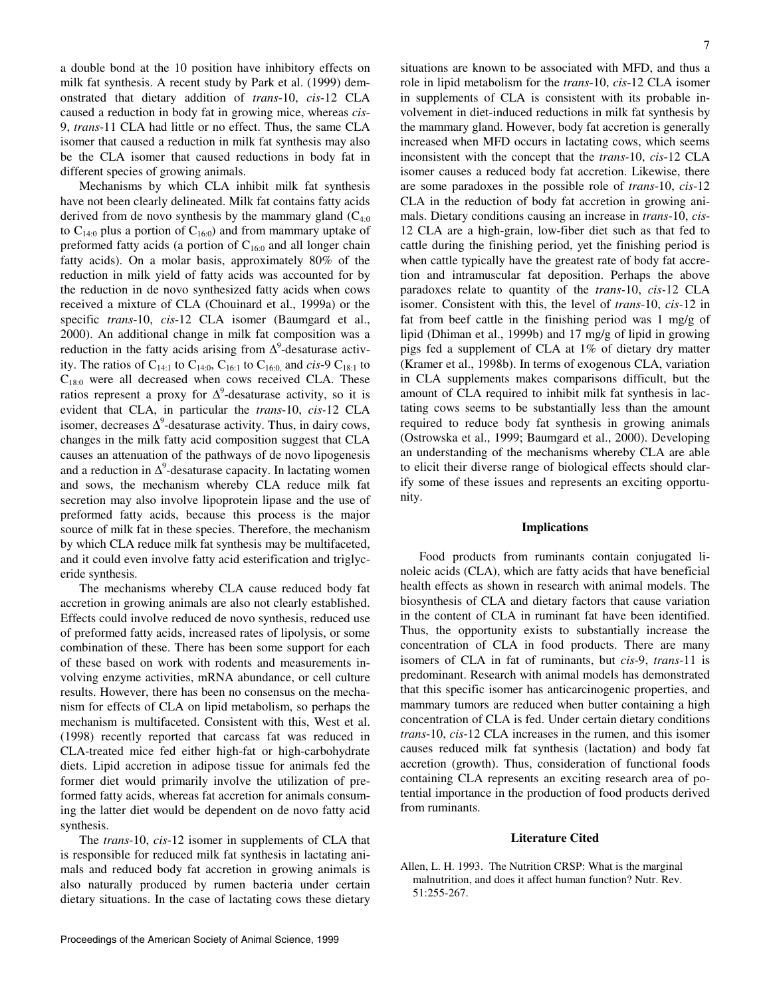a double bond at the 10 position have inhibitory effects on milk fat synthesis. A recent study by Park et al. (1999) demonstrated that dietary addition of *trans*-10, *cis*-12 CLA caused a reduction in body fat in growing mice, whereas *cis*-9, *trans*-11 CLA had little or no effect. Thus, the same CLA isomer that caused a reduction in milk fat synthesis may also be the CLA isomer that caused reductions in body fat in different species of growing animals.

Mechanisms by which CLA inhibit milk fat synthesis have not been clearly delineated. Milk fat contains fatty acids derived from de novo synthesis by the mammary gland  $(C_{4:0}$ to  $C_{14:0}$  plus a portion of  $C_{16:0}$  and from mammary uptake of preformed fatty acids (a portion of  $C_{16:0}$  and all longer chain fatty acids). On a molar basis, approximately 80% of the reduction in milk yield of fatty acids was accounted for by the reduction in de novo synthesized fatty acids when cows received a mixture of CLA (Chouinard et al., 1999a) or the specific *trans*-10, *cis*-12 CLA isomer (Baumgard et al., 2000). An additional change in milk fat composition was a reduction in the fatty acids arising from  $\Delta^9$ -desaturase activity. The ratios of C<sub>14:1</sub> to C<sub>14:0</sub>, C<sub>16:1</sub> to C<sub>16:0</sub>, and *cis*-9 C<sub>18:1</sub> to  $C_{18:0}$  were all decreased when cows received CLA. These ratios represent a proxy for  $\Delta^9$ -desaturase activity, so it is evident that CLA, in particular the *trans*-10, *cis-*12 CLA isomer, decreases  $\Delta^9$ -desaturase activity. Thus, in dairy cows, changes in the milk fatty acid composition suggest that CLA causes an attenuation of the pathways of de novo lipogenesis and a reduction in  $\Delta^9$ -desaturase capacity. In lactating women and sows, the mechanism whereby CLA reduce milk fat secretion may also involve lipoprotein lipase and the use of preformed fatty acids, because this process is the major source of milk fat in these species. Therefore, the mechanism by which CLA reduce milk fat synthesis may be multifaceted, and it could even involve fatty acid esterification and triglyceride synthesis.

The mechanisms whereby CLA cause reduced body fat accretion in growing animals are also not clearly established. Effects could involve reduced de novo synthesis, reduced use of preformed fatty acids, increased rates of lipolysis, or some combination of these. There has been some support for each of these based on work with rodents and measurements involving enzyme activities, mRNA abundance, or cell culture results. However, there has been no consensus on the mechanism for effects of CLA on lipid metabolism, so perhaps the mechanism is multifaceted. Consistent with this, West et al. (1998) recently reported that carcass fat was reduced in CLA-treated mice fed either high-fat or high-carbohydrate diets. Lipid accretion in adipose tissue for animals fed the former diet would primarily involve the utilization of preformed fatty acids, whereas fat accretion for animals consuming the latter diet would be dependent on de novo fatty acid synthesis.

The *trans*-10, *cis*-12 isomer in supplements of CLA that is responsible for reduced milk fat synthesis in lactating animals and reduced body fat accretion in growing animals is also naturally produced by rumen bacteria under certain dietary situations. In the case of lactating cows these dietary

situations are known to be associated with MFD, and thus a role in lipid metabolism for the *trans*-10, *cis*-12 CLA isomer in supplements of CLA is consistent with its probable involvement in diet-induced reductions in milk fat synthesis by the mammary gland. However, body fat accretion is generally increased when MFD occurs in lactating cows, which seems inconsistent with the concept that the *trans-*10, *cis*-12 CLA isomer causes a reduced body fat accretion. Likewise, there are some paradoxes in the possible role of *trans*-10, *cis*-12 CLA in the reduction of body fat accretion in growing animals. Dietary conditions causing an increase in *trans*-10, *cis*-12 CLA are a high-grain, low-fiber diet such as that fed to cattle during the finishing period, yet the finishing period is when cattle typically have the greatest rate of body fat accretion and intramuscular fat deposition. Perhaps the above paradoxes relate to quantity of the *trans-*10, *cis-*12 CLA isomer. Consistent with this, the level of *trans*-10, *cis-*12 in fat from beef cattle in the finishing period was 1 mg/g of lipid (Dhiman et al., 1999b) and 17 mg/g of lipid in growing pigs fed a supplement of CLA at 1% of dietary dry matter (Kramer et al., 1998b). In terms of exogenous CLA, variation in CLA supplements makes comparisons difficult, but the amount of CLA required to inhibit milk fat synthesis in lactating cows seems to be substantially less than the amount required to reduce body fat synthesis in growing animals (Ostrowska et al., 1999; Baumgard et al., 2000). Developing an understanding of the mechanisms whereby CLA are able to elicit their diverse range of biological effects should clarify some of these issues and represents an exciting opportunity.

#### **Implications**

Food products from ruminants contain conjugated linoleic acids (CLA), which are fatty acids that have beneficial health effects as shown in research with animal models. The biosynthesis of CLA and dietary factors that cause variation in the content of CLA in ruminant fat have been identified. Thus, the opportunity exists to substantially increase the concentration of CLA in food products. There are many isomers of CLA in fat of ruminants, but *cis*-9, *trans*-11 is predominant. Research with animal models has demonstrated that this specific isomer has anticarcinogenic properties, and mammary tumors are reduced when butter containing a high concentration of CLA is fed. Under certain dietary conditions *trans*-10, *cis*-12 CLA increases in the rumen, and this isomer causes reduced milk fat synthesis (lactation) and body fat accretion (growth). Thus, consideration of functional foods containing CLA represents an exciting research area of potential importance in the production of food products derived from ruminants.

### **Literature Cited**

Allen, L. H. 1993. The Nutrition CRSP: What is the marginal malnutrition, and does it affect human function? Nutr. Rev. 51:255-267.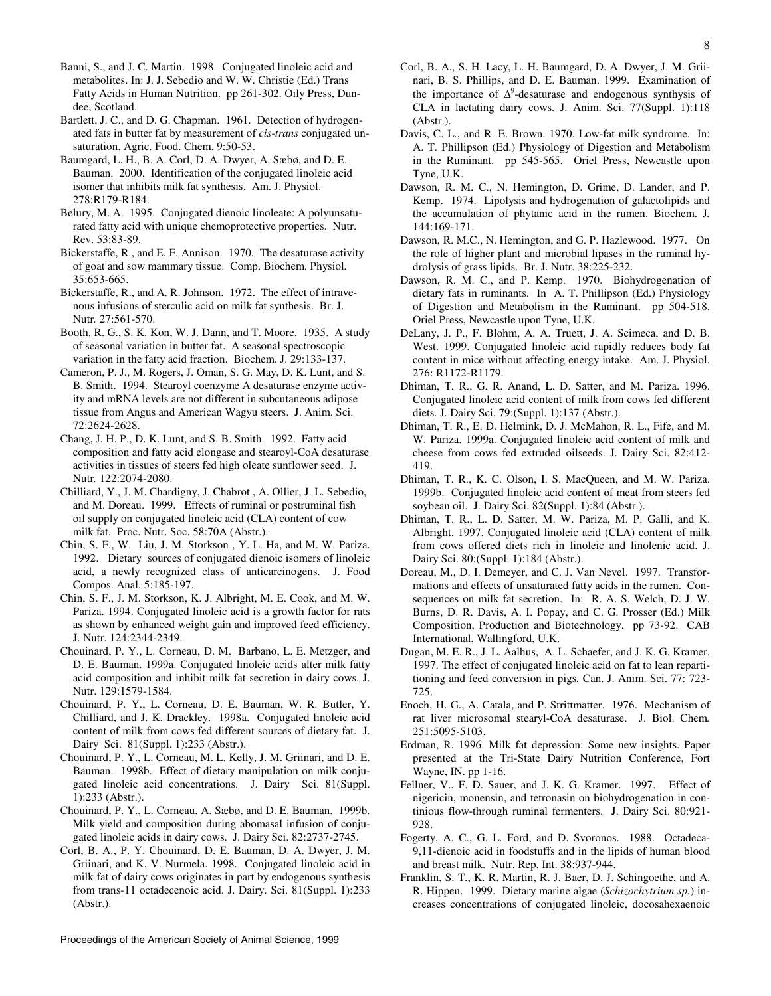Banni, S., and J. C. Martin. 1998. Conjugated linoleic acid and metabolites. In: J. J. Sebedio and W. W. Christie (Ed.) Trans Fatty Acids in Human Nutrition. pp 261-302. Oily Press, Dundee, Scotland.

Bartlett, J. C., and D. G. Chapman. 1961. Detection of hydrogenated fats in butter fat by measurement of *cis-trans* conjugated unsaturation. Agric. Food. Chem. 9:50-53.

Baumgard, L. H., B. A. Corl, D. A. Dwyer, A. Sæbø, and D. E. Bauman. 2000. Identification of the conjugated linoleic acid isomer that inhibits milk fat synthesis. Am. J. Physiol. 278:R179-R184.

Belury, M. A. 1995. Conjugated dienoic linoleate: A polyunsaturated fatty acid with unique chemoprotective properties. Nutr. Rev. 53:83-89.

Bickerstaffe, R., and E. F. Annison. 1970. The desaturase activity of goat and sow mammary tissue. Comp. Biochem. Physiol*.*  35:653-665.

Bickerstaffe, R., and A. R. Johnson. 1972. The effect of intravenous infusions of sterculic acid on milk fat synthesis. Br. J. Nutr*.* 27:561-570.

Booth, R. G., S. K. Kon, W. J. Dann, and T. Moore. 1935. A study of seasonal variation in butter fat. A seasonal spectroscopic variation in the fatty acid fraction. Biochem. J. 29:133-137.

Cameron, P. J., M. Rogers, J. Oman, S. G. May, D. K. Lunt, and S. B. Smith. 1994. Stearoyl coenzyme A desaturase enzyme activity and mRNA levels are not different in subcutaneous adipose tissue from Angus and American Wagyu steers. J. Anim. Sci. 72:2624-2628.

Chang, J. H. P., D. K. Lunt, and S. B. Smith. 1992. Fatty acid composition and fatty acid elongase and stearoyl-CoA desaturase activities in tissues of steers fed high oleate sunflower seed. J. Nutr*.* 122:2074-2080.

Chilliard, Y., J. M. Chardigny, J. Chabrot , A. Ollier, J. L. Sebedio, and M. Doreau. 1999. Effects of ruminal or postruminal fish oil supply on conjugated linoleic acid (CLA) content of cow milk fat. Proc. Nutr. Soc. 58:70A (Abstr.).

Chin, S. F., W. Liu, J. M. Storkson , Y. L. Ha, and M. W. Pariza. 1992. Dietary sources of conjugated dienoic isomers of linoleic acid, a newly recognized class of anticarcinogens. J. Food Compos. Anal. 5:185-197.

Chin, S. F., J. M. Storkson, K. J. Albright, M. E. Cook, and M. W. Pariza. 1994. Conjugated linoleic acid is a growth factor for rats as shown by enhanced weight gain and improved feed efficiency. J. Nutr. 124:2344-2349.

Chouinard, P. Y., L. Corneau, D. M. Barbano, L. E. Metzger, and D. E. Bauman. 1999a. Conjugated linoleic acids alter milk fatty acid composition and inhibit milk fat secretion in dairy cows. J. Nutr. 129:1579-1584.

Chouinard, P. Y., L. Corneau, D. E. Bauman, W. R. Butler, Y. Chilliard, and J. K. Drackley. 1998a. Conjugated linoleic acid content of milk from cows fed different sources of dietary fat. J. Dairy Sci. 81(Suppl. 1):233 (Abstr.).

Chouinard, P. Y., L. Corneau, M. L. Kelly, J. M. Griinari, and D. E. Bauman. 1998b. Effect of dietary manipulation on milk conjugated linoleic acid concentrations. J. Dairy Sci. 81(Suppl. 1):233 (Abstr.).

Chouinard, P. Y., L. Corneau, A. Sæbø, and D. E. Bauman. 1999b. Milk yield and composition during abomasal infusion of conjugated linoleic acids in dairy cows. J. Dairy Sci. 82:2737-2745.

Corl, B. A., P. Y. Chouinard, D. E. Bauman, D. A. Dwyer, J. M. Griinari, and K. V. Nurmela. 1998. Conjugated linoleic acid in milk fat of dairy cows originates in part by endogenous synthesis from trans-11 octadecenoic acid. J. Dairy. Sci. 81(Suppl. 1):233 (Abstr.).

- Davis, C. L., and R. E. Brown. 1970. Low-fat milk syndrome. In: A. T. Phillipson (Ed.) Physiology of Digestion and Metabolism in the Ruminant. pp 545-565. Oriel Press, Newcastle upon Tyne, U.K.
- Dawson, R. M. C., N. Hemington, D. Grime, D. Lander, and P. Kemp. 1974. Lipolysis and hydrogenation of galactolipids and the accumulation of phytanic acid in the rumen. Biochem. J*.* 144:169-171.

Dawson, R. M.C., N. Hemington, and G. P. Hazlewood. 1977. On the role of higher plant and microbial lipases in the ruminal hydrolysis of grass lipids. Br. J. Nutr. 38:225-232.

Dawson, R. M. C., and P. Kemp. 1970. Biohydrogenation of dietary fats in ruminants. In A. T. Phillipson (Ed.) Physiology of Digestion and Metabolism in the Ruminant. pp 504-518. Oriel Press, Newcastle upon Tyne, U.K.

DeLany, J. P., F. Blohm, A. A. Truett, J. A. Scimeca, and D. B. West. 1999. Conjugated linoleic acid rapidly reduces body fat content in mice without affecting energy intake. Am. J. Physiol. 276: R1172-R1179.

Dhiman, T. R., G. R. Anand, L. D. Satter, and M. Pariza. 1996. Conjugated linoleic acid content of milk from cows fed different diets. J. Dairy Sci. 79:(Suppl. 1):137 (Abstr.).

Dhiman, T. R., E. D. Helmink, D. J. McMahon, R. L., Fife, and M. W. Pariza. 1999a. Conjugated linoleic acid content of milk and cheese from cows fed extruded oilseeds. J. Dairy Sci. 82:412- 419.

Dhiman, T. R., K. C. Olson, I. S. MacQueen, and M. W. Pariza. 1999b. Conjugated linoleic acid content of meat from steers fed soybean oil. J. Dairy Sci. 82(Suppl. 1):84 (Abstr.).

Dhiman, T. R., L. D. Satter, M. W. Pariza, M. P. Galli, and K. Albright. 1997. Conjugated linoleic acid (CLA) content of milk from cows offered diets rich in linoleic and linolenic acid. J. Dairy Sci. 80:(Suppl. 1):184 (Abstr.).

Doreau, M., D. I. Demeyer, and C. J. Van Nevel. 1997. Transformations and effects of unsaturated fatty acids in the rumen. Consequences on milk fat secretion. In: R. A. S. Welch, D. J. W. Burns, D. R. Davis, A. I. Popay, and C. G. Prosser (Ed.) Milk Composition, Production and Biotechnology. pp 73-92. CAB International, Wallingford, U.K.

Dugan, M. E. R., J. L. Aalhus, A. L. Schaefer, and J. K. G. Kramer. 1997. The effect of conjugated linoleic acid on fat to lean repartitioning and feed conversion in pigs*.* Can. J. Anim. Sci. 77: 723- 725.

Enoch, H. G., A. Catala, and P. Strittmatter. 1976. Mechanism of rat liver microsomal stearyl-CoA desaturase. J. Biol. Chem*.* 251:5095-5103.

Erdman, R. 1996. Milk fat depression: Some new insights. Paper presented at the Tri-State Dairy Nutrition Conference, Fort Wayne, IN. pp 1-16.

Fellner, V., F. D. Sauer, and J. K. G. Kramer. 1997. Effect of nigericin, monensin, and tetronasin on biohydrogenation in continious flow-through ruminal fermenters. J. Dairy Sci. 80:921- 928.

Fogerty, A. C., G. L. Ford, and D. Svoronos. 1988. Octadeca-9,11-dienoic acid in foodstuffs and in the lipids of human blood and breast milk. Nutr. Rep. Int. 38:937-944.

Franklin, S. T., K. R. Martin, R. J. Baer, D. J. Schingoethe, and A. R. Hippen. 1999. Dietary marine algae (*Schizochytrium sp.*) increases concentrations of conjugated linoleic, docosahexaenoic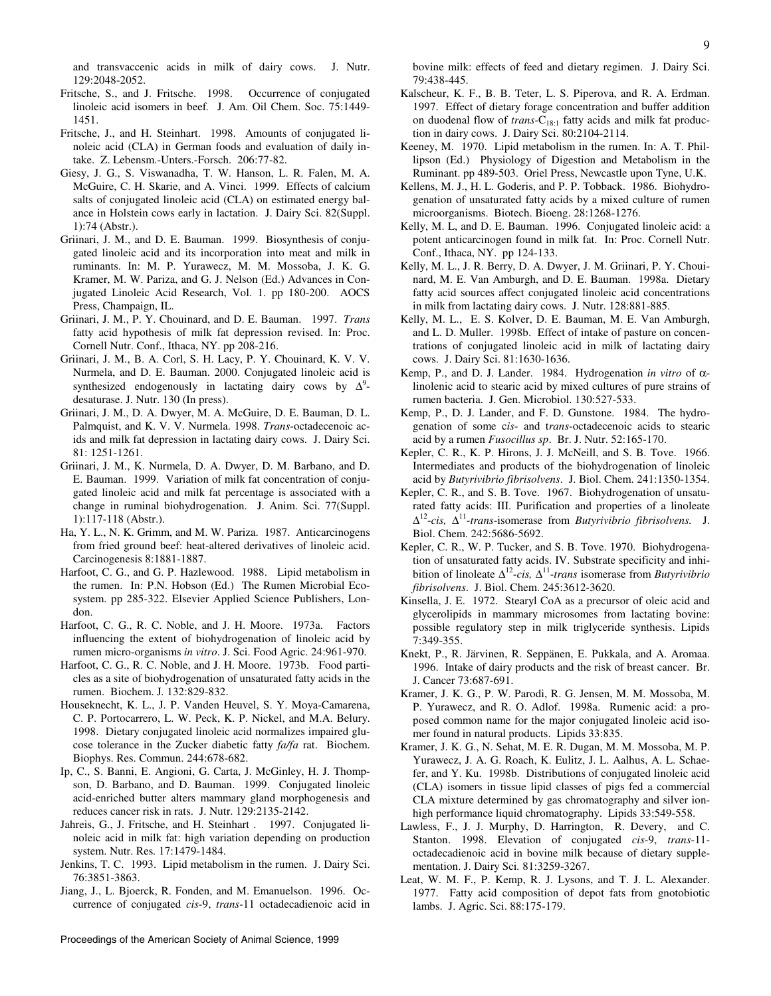and transvaccenic acids in milk of dairy cows. J. Nutr. 129:2048-2052.

- Fritsche, S., and J. Fritsche. 1998. Occurrence of conjugated linoleic acid isomers in beef*.* J. Am. Oil Chem. Soc. 75:1449- 1451.
- Fritsche, J., and H. Steinhart. 1998. Amounts of conjugated linoleic acid (CLA) in German foods and evaluation of daily intake. Z. Lebensm.-Unters.-Forsch. 206:77-82.
- Giesy, J. G., S. Viswanadha, T. W. Hanson, L. R. Falen, M. A. McGuire, C. H. Skarie, and A. Vinci. 1999. Effects of calcium salts of conjugated linoleic acid (CLA) on estimated energy balance in Holstein cows early in lactation. J. Dairy Sci. 82(Suppl. 1):74 (Abstr.).
- Griinari, J. M., and D. E. Bauman. 1999. Biosynthesis of conjugated linoleic acid and its incorporation into meat and milk in ruminants. In: M. P. Yurawecz, M. M. Mossoba, J. K. G. Kramer, M. W. Pariza, and G. J. Nelson (Ed.) Advances in Conjugated Linoleic Acid Research, Vol. 1. pp 180-200. AOCS Press, Champaign, IL.
- Griinari, J. M., P. Y. Chouinard, and D. E. Bauman. 1997. *Trans* fatty acid hypothesis of milk fat depression revised. In: Proc. Cornell Nutr. Conf., Ithaca, NY. pp 208-216.
- Griinari, J. M., B. A. Corl, S. H. Lacy, P. Y. Chouinard, K. V. V. Nurmela, and D. E. Bauman. 2000. Conjugated linoleic acid is synthesized endogenously in lactating dairy cows by  $\Delta^9$ desaturase. J. Nutr. 130 (In press).
- Griinari, J. M., D. A. Dwyer, M. A. McGuire, D. E. Bauman, D. L. Palmquist, and K. V. V. Nurmela. 1998. *Trans*-octadecenoic acids and milk fat depression in lactating dairy cows. J. Dairy Sci. 81: 1251-1261.
- Griinari, J. M., K. Nurmela, D. A. Dwyer, D. M. Barbano, and D. E. Bauman. 1999. Variation of milk fat concentration of conjugated linoleic acid and milk fat percentage is associated with a change in ruminal biohydrogenation. J. Anim. Sci. 77(Suppl. 1):117-118 (Abstr.).
- Ha, Y. L., N. K. Grimm, and M. W. Pariza. 1987. Anticarcinogens from fried ground beef: heat-altered derivatives of linoleic acid. Carcinogenesis 8:1881-1887.
- Harfoot, C. G., and G. P. Hazlewood. 1988. Lipid metabolism in the rumen. In: P.N. Hobson (Ed.) The Rumen Microbial Ecosystem. pp 285-322. Elsevier Applied Science Publishers, London.
- Harfoot, C. G., R. C. Noble, and J. H. Moore. 1973a. Factors influencing the extent of biohydrogenation of linoleic acid by rumen micro-organisms *in vitro*. J. Sci. Food Agric. 24:961-970.
- Harfoot, C. G., R. C. Noble, and J. H. Moore. 1973b. Food particles as a site of biohydrogenation of unsaturated fatty acids in the rumen. Biochem. J*.* 132:829-832.
- Houseknecht, K. L., J. P. Vanden Heuvel, S. Y. Moya-Camarena, C. P. Portocarrero, L. W. Peck, K. P. Nickel, and M.A. Belury. 1998. Dietary conjugated linoleic acid normalizes impaired glucose tolerance in the Zucker diabetic fatty *fa/fa* rat. Biochem. Biophys. Res. Commun. 244:678-682.
- Ip, C., S. Banni, E. Angioni, G. Carta, J. McGinley, H. J. Thompson, D. Barbano, and D. Bauman. 1999. Conjugated linoleic acid-enriched butter alters mammary gland morphogenesis and reduces cancer risk in rats. J. Nutr. 129:2135-2142.
- Jahreis, G., J. Fritsche, and H. Steinhart . 1997. Conjugated linoleic acid in milk fat: high variation depending on production system. Nutr. Res*.* 17:1479-1484.
- Jenkins, T. C. 1993. Lipid metabolism in the rumen. J. Dairy Sci. 76:3851-3863.
- Jiang, J., L. Bjoerck, R. Fonden, and M. Emanuelson. 1996. Occurrence of conjugated *cis*-9, *trans*-11 octadecadienoic acid in

bovine milk: effects of feed and dietary regimen. J. Dairy Sci. 79:438-445.

- Kalscheur, K. F., B. B. Teter, L. S. Piperova, and R. A. Erdman. 1997. Effect of dietary forage concentration and buffer addition on duodenal flow of *trans-*C<sub>18:1</sub> fatty acids and milk fat production in dairy cows. J. Dairy Sci. 80:2104-2114.
- Keeney, M. 1970. Lipid metabolism in the rumen. In: A. T. Phillipson (Ed.) Physiology of Digestion and Metabolism in the Ruminant. pp 489-503. Oriel Press, Newcastle upon Tyne, U.K.
- Kellens, M. J., H. L. Goderis, and P. P. Tobback. 1986. Biohydrogenation of unsaturated fatty acids by a mixed culture of rumen microorganisms. Biotech. Bioeng. 28:1268-1276.
- Kelly, M. L, and D. E. Bauman. 1996. Conjugated linoleic acid: a potent anticarcinogen found in milk fat. In: Proc. Cornell Nutr. Conf., Ithaca, NY. pp 124-133.
- Kelly, M. L., J. R. Berry, D. A. Dwyer, J. M. Griinari, P. Y. Chouinard, M. E. Van Amburgh, and D. E. Bauman. 1998a. Dietary fatty acid sources affect conjugated linoleic acid concentrations in milk from lactating dairy cows. J. Nutr. 128:881-885.
- Kelly, M. L., E. S. Kolver, D. E. Bauman, M. E. Van Amburgh, and L. D. Muller. 1998b. Effect of intake of pasture on concentrations of conjugated linoleic acid in milk of lactating dairy cows. J. Dairy Sci. 81:1630-1636.
- Kemp, P., and D. J. Lander. 1984. Hydrogenation *in vitro* of αlinolenic acid to stearic acid by mixed cultures of pure strains of rumen bacteria. J. Gen. Microbiol. 130:527-533.
- Kemp, P., D. J. Lander, and F. D. Gunstone. 1984. The hydrogenation of some c*is*- and t*rans*-octadecenoic acids to stearic acid by a rumen *Fusocillus sp*. Br. J. Nutr. 52:165-170.
- Kepler, C. R., K. P. Hirons, J. J. McNeill, and S. B. Tove. 1966. Intermediates and products of the biohydrogenation of linoleic acid by *Butyrivibrio fibrisolvens*. J. Biol. Chem. 241:1350-1354.
- Kepler, C. R., and S. B. Tove. 1967. Biohydrogenation of unsaturated fatty acids: III. Purification and properties of a linoleate ∆<sup>12</sup>-*cis,* ∆<sup>11</sup>-*trans*-isomerase from *Butyrivibrio fibrisolvens.* J. Biol. Chem. 242:5686-5692.
- Kepler, C. R., W. P. Tucker, and S. B. Tove. 1970. Biohydrogenation of unsaturated fatty acids. IV. Substrate specificity and inhibition of linoleate ∆12-*cis,* ∆11-*trans* isomerase from *Butyrivibrio fibrisolvens*. J. Biol. Chem. 245:3612-3620.
- Kinsella, J. E. 1972. Stearyl CoA as a precursor of oleic acid and glycerolipids in mammary microsomes from lactating bovine: possible regulatory step in milk triglyceride synthesis. Lipids 7:349-355.
- Knekt, P., R. Järvinen, R. Seppänen, E. Pukkala, and A. Aromaa. 1996. Intake of dairy products and the risk of breast cancer. Br. J. Cancer 73:687-691.
- Kramer, J. K. G., P. W. Parodi, R. G. Jensen, M. M. Mossoba, M. P. Yurawecz, and R. O. Adlof. 1998a. Rumenic acid: a proposed common name for the major conjugated linoleic acid isomer found in natural products. Lipids 33:835.
- Kramer, J. K. G., N. Sehat, M. E. R. Dugan, M. M. Mossoba, M. P. Yurawecz, J. A. G. Roach, K. Eulitz, J. L. Aalhus, A. L. Schaefer, and Y. Ku. 1998b. Distributions of conjugated linoleic acid (CLA) isomers in tissue lipid classes of pigs fed a commercial CLA mixture determined by gas chromatography and silver ionhigh performance liquid chromatography. Lipids 33:549-558.
- Lawless, F., J. J. Murphy, D. Harrington, R. Devery, and C. Stanton. 1998. Elevation of conjugated *cis*-9, *trans*-11 octadecadienoic acid in bovine milk because of dietary supplementation. J. Dairy Sci*.* 81:3259-3267.
- Leat, W. M. F., P. Kemp, R. J. Lysons, and T. J. L. Alexander. 1977. Fatty acid composition of depot fats from gnotobiotic lambs. J. Agric. Sci. 88:175-179.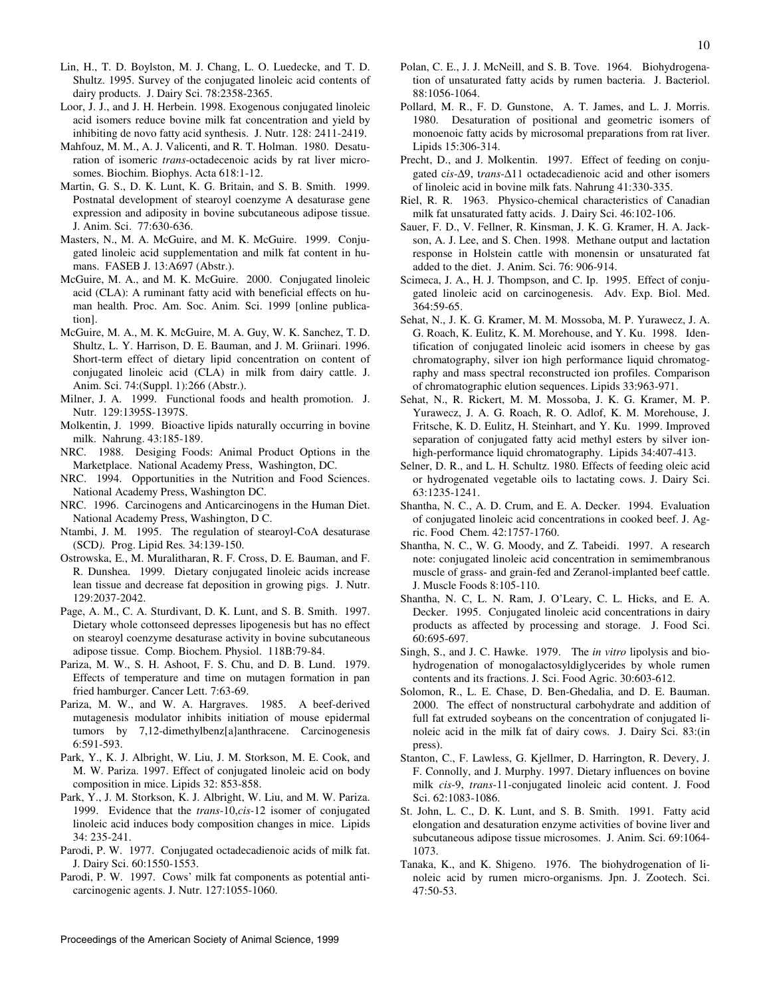- Lin, H., T. D. Boylston, M. J. Chang, L. O. Luedecke, and T. D. Shultz. 1995. Survey of the conjugated linoleic acid contents of dairy products. J. Dairy Sci. 78:2358-2365.
- Loor, J. J., and J. H. Herbein. 1998. Exogenous conjugated linoleic acid isomers reduce bovine milk fat concentration and yield by inhibiting de novo fatty acid synthesis. J. Nutr. 128: 2411-2419.
- Mahfouz, M. M., A. J. Valicenti, and R. T. Holman. 1980. Desaturation of isomeric *trans*-octadecenoic acids by rat liver microsomes. Biochim. Biophys. Acta 618:1-12.
- Martin, G. S., D. K. Lunt, K. G. Britain, and S. B. Smith. 1999. Postnatal development of stearoyl coenzyme A desaturase gene expression and adiposity in bovine subcutaneous adipose tissue. J. Anim. Sci. 77:630-636.
- Masters, N., M. A. McGuire, and M. K. McGuire. 1999. Conjugated linoleic acid supplementation and milk fat content in humans. FASEB J. 13:A697 (Abstr.).
- McGuire, M. A., and M. K. McGuire. 2000. Conjugated linoleic acid (CLA): A ruminant fatty acid with beneficial effects on human health. Proc. Am. Soc. Anim. Sci. 1999 [online publication].
- McGuire, M. A., M. K. McGuire, M. A. Guy, W. K. Sanchez, T. D. Shultz, L. Y. Harrison, D. E. Bauman, and J. M. Griinari. 1996. Short-term effect of dietary lipid concentration on content of conjugated linoleic acid (CLA) in milk from dairy cattle. J. Anim. Sci. 74:(Suppl. 1):266 (Abstr.).
- Milner, J. A. 1999. Functional foods and health promotion. J. Nutr. 129:1395S-1397S.
- Molkentin, J. 1999. Bioactive lipids naturally occurring in bovine milk. Nahrung. 43:185-189.
- NRC. 1988. Desiging Foods: Animal Product Options in the Marketplace. National Academy Press, Washington, DC.
- NRC. 1994. Opportunities in the Nutrition and Food Sciences. National Academy Press, Washington DC.
- NRC. 1996. Carcinogens and Anticarcinogens in the Human Diet. National Academy Press, Washington, D C.
- Ntambi, J. M. 1995. The regulation of stearoyl-CoA desaturase (SCD*).* Prog. Lipid Res*.* 34:139-150.
- Ostrowska, E., M. Muralitharan, R. F. Cross, D. E. Bauman, and F. R. Dunshea. 1999. Dietary conjugated linoleic acids increase lean tissue and decrease fat deposition in growing pigs. J. Nutr. 129:2037-2042.
- Page, A. M., C. A. Sturdivant, D. K. Lunt, and S. B. Smith. 1997. Dietary whole cottonseed depresses lipogenesis but has no effect on stearoyl coenzyme desaturase activity in bovine subcutaneous adipose tissue. Comp. Biochem. Physiol. 118B:79-84.
- Pariza, M. W., S. H. Ashoot, F. S. Chu, and D. B. Lund. 1979. Effects of temperature and time on mutagen formation in pan fried hamburger. Cancer Lett. 7:63-69.
- Pariza, M. W., and W. A. Hargraves. 1985. A beef-derived mutagenesis modulator inhibits initiation of mouse epidermal tumors by 7,12-dimethylbenz[a]anthracene. Carcinogenesis 6:591-593.
- Park, Y., K. J. Albright, W. Liu, J. M. Storkson, M. E. Cook, and M. W. Pariza. 1997. Effect of conjugated linoleic acid on body composition in mice. Lipids 32: 853-858.
- Park, Y., J. M. Storkson, K. J. Albright, W. Liu, and M. W. Pariza. 1999. Evidence that the *trans*-10,*cis*-12 isomer of conjugated linoleic acid induces body composition changes in mice. Lipids 34: 235-241.
- Parodi, P. W. 1977. Conjugated octadecadienoic acids of milk fat. J. Dairy Sci. 60:1550-1553.
- Parodi, P. W. 1997. Cows' milk fat components as potential anticarcinogenic agents. J. Nutr. 127:1055-1060.
- Polan, C. E., J. J. McNeill, and S. B. Tove. 1964. Biohydrogenation of unsaturated fatty acids by rumen bacteria. J. Bacteriol. 88:1056-1064.
- Pollard, M. R., F. D. Gunstone, A. T. James, and L. J. Morris. 1980. Desaturation of positional and geometric isomers of monoenoic fatty acids by microsomal preparations from rat liver. Lipids 15:306-314.
- Precht, D., and J. Molkentin. 1997. Effect of feeding on conjugated c*is*-∆9, t*rans*-∆11 octadecadienoic acid and other isomers of linoleic acid in bovine milk fats. Nahrung 41:330-335.
- Riel, R. R. 1963. Physico-chemical characteristics of Canadian milk fat unsaturated fatty acids. J. Dairy Sci. 46:102-106.
- Sauer, F. D., V. Fellner, R. Kinsman, J. K. G. Kramer, H. A. Jackson, A. J. Lee, and S. Chen. 1998. Methane output and lactation response in Holstein cattle with monensin or unsaturated fat added to the diet. J. Anim. Sci. 76: 906-914.
- Scimeca, J. A., H. J. Thompson, and C. Ip. 1995. Effect of conjugated linoleic acid on carcinogenesis. Adv. Exp. Biol. Med. 364:59-65.
- Sehat, N., J. K. G. Kramer, M. M. Mossoba, M. P. Yurawecz, J. A. G. Roach, K. Eulitz, K. M. Morehouse, and Y. Ku. 1998. Identification of conjugated linoleic acid isomers in cheese by gas chromatography, silver ion high performance liquid chromatography and mass spectral reconstructed ion profiles. Comparison of chromatographic elution sequences. Lipids 33:963-971.
- Sehat, N., R. Rickert, M. M. Mossoba, J. K. G. Kramer, M. P. Yurawecz, J. A. G. Roach, R. O. Adlof, K. M. Morehouse, J. Fritsche, K. D. Eulitz, H. Steinhart, and Y. Ku. 1999. Improved separation of conjugated fatty acid methyl esters by silver ionhigh-performance liquid chromatography. Lipids 34:407-413.
- Selner, D. R., and L. H. Schultz. 1980. Effects of feeding oleic acid or hydrogenated vegetable oils to lactating cows. J. Dairy Sci. 63:1235-1241.
- Shantha, N. C., A. D. Crum, and E. A. Decker. 1994. Evaluation of conjugated linoleic acid concentrations in cooked beef. J. Agric. Food Chem. 42:1757-1760.
- Shantha, N. C., W. G. Moody, and Z. Tabeidi. 1997. A research note: conjugated linoleic acid concentration in semimembranous muscle of grass- and grain-fed and Zeranol-implanted beef cattle. J. Muscle Foods 8:105-110.
- Shantha, N. C, L. N. Ram, J. O'Leary, C. L. Hicks, and E. A. Decker. 1995. Conjugated linoleic acid concentrations in dairy products as affected by processing and storage. J. Food Sci. 60:695-697.
- Singh, S., and J. C. Hawke. 1979. The *in vitro* lipolysis and biohydrogenation of monogalactosyldiglycerides by whole rumen contents and its fractions. J. Sci. Food Agric. 30:603-612.
- Solomon, R., L. E. Chase, D. Ben-Ghedalia, and D. E. Bauman. 2000. The effect of nonstructural carbohydrate and addition of full fat extruded soybeans on the concentration of conjugated linoleic acid in the milk fat of dairy cows. J. Dairy Sci. 83:(in press).
- Stanton, C., F. Lawless, G. Kjellmer, D. Harrington, R. Devery, J. F. Connolly, and J. Murphy. 1997. Dietary influences on bovine milk *cis*-9, *trans*-11-conjugated linoleic acid content. J. Food Sci. 62:1083-1086.
- St. John, L. C., D. K. Lunt, and S. B. Smith. 1991. Fatty acid elongation and desaturation enzyme activities of bovine liver and subcutaneous adipose tissue microsomes. J. Anim. Sci. 69:1064- 1073.
- Tanaka, K., and K. Shigeno. 1976. The biohydrogenation of linoleic acid by rumen micro-organisms. Jpn. J. Zootech. Sci. 47:50-53.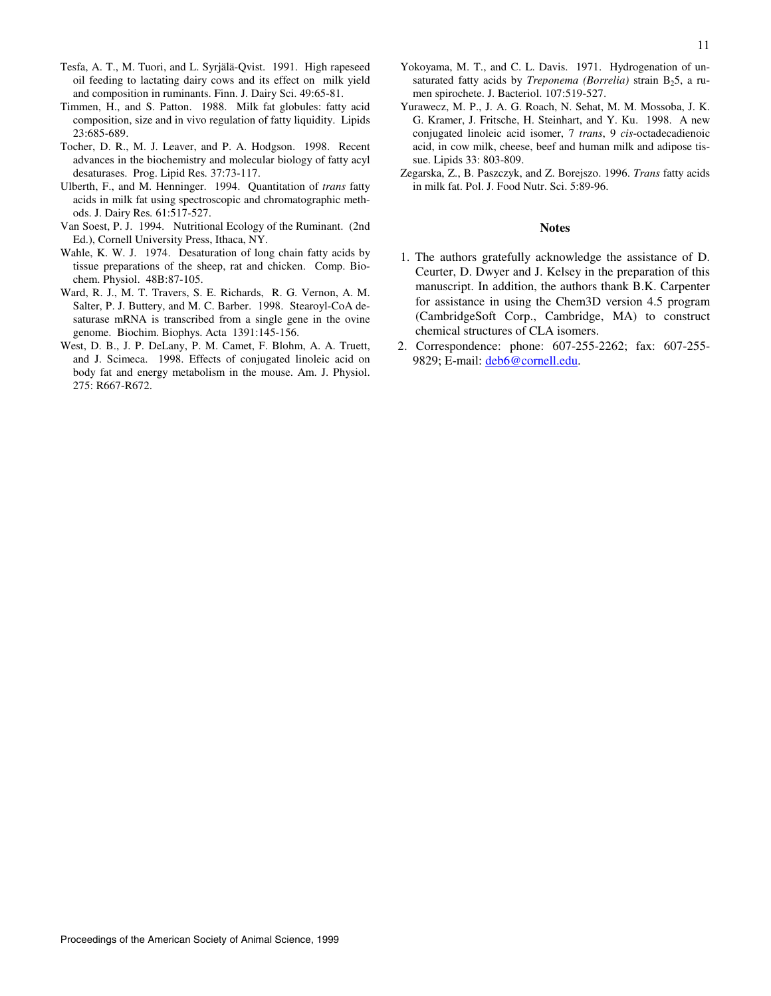- Tesfa, A. T., M. Tuori, and L. Syrjälä-Qvist. 1991. High rapeseed oil feeding to lactating dairy cows and its effect on milk yield and composition in ruminants. Finn. J. Dairy Sci. 49:65-81.
- Timmen, H., and S. Patton. 1988. Milk fat globules: fatty acid composition, size and in vivo regulation of fatty liquidity. Lipids 23:685-689.
- Tocher, D. R., M. J. Leaver, and P. A. Hodgson. 1998. Recent advances in the biochemistry and molecular biology of fatty acyl desaturases. Prog. Lipid Res*.* 37:73-117.
- Ulberth, F., and M. Henninger. 1994. Quantitation of *trans* fatty acids in milk fat using spectroscopic and chromatographic methods. J. Dairy Res*.* 61:517-527.
- Van Soest, P. J. 1994. Nutritional Ecology of the Ruminant. (2nd Ed.), Cornell University Press, Ithaca, NY.
- Wahle, K. W. J. 1974. Desaturation of long chain fatty acids by tissue preparations of the sheep, rat and chicken. Comp. Biochem. Physiol. 48B:87-105.
- Ward, R. J., M. T. Travers, S. E. Richards, R. G. Vernon, A. M. Salter, P. J. Buttery, and M. C. Barber. 1998. Stearoyl-CoA desaturase mRNA is transcribed from a single gene in the ovine genome. Biochim. Biophys. Acta 1391:145-156.
- West, D. B., J. P. DeLany, P. M. Camet, F. Blohm, A. A. Truett, and J. Scimeca. 1998. Effects of conjugated linoleic acid on body fat and energy metabolism in the mouse. Am. J. Physiol. 275: R667-R672.
- Yokoyama, M. T., and C. L. Davis. 1971. Hydrogenation of unsaturated fatty acids by *Treponema (Borrelia)* strain B<sub>2</sub>5, a rumen spirochete. J. Bacteriol. 107:519-527.
- Yurawecz, M. P., J. A. G. Roach, N. Sehat, M. M. Mossoba, J. K. G. Kramer, J. Fritsche, H. Steinhart, and Y. Ku. 1998. A new conjugated linoleic acid isomer, 7 *trans*, 9 *cis*-octadecadienoic acid, in cow milk, cheese, beef and human milk and adipose tissue. Lipids 33: 803-809.
- Zegarska, Z., B. Paszczyk, and Z. Borejszo. 1996. *Trans* fatty acids in milk fat. Pol. J. Food Nutr. Sci. 5:89-96.

#### **Notes**

- 1. The authors gratefully acknowledge the assistance of D. Ceurter, D. Dwyer and J. Kelsey in the preparation of this manuscript. In addition, the authors thank B.K. Carpenter for assistance in using the Chem3D version 4.5 program (CambridgeSoft Corp., Cambridge, MA) to construct chemical structures of CLA isomers.
- 2. Correspondence: phone: 607-255-2262; fax: 607-255- 9829; E-mail: deb6@cornell.edu.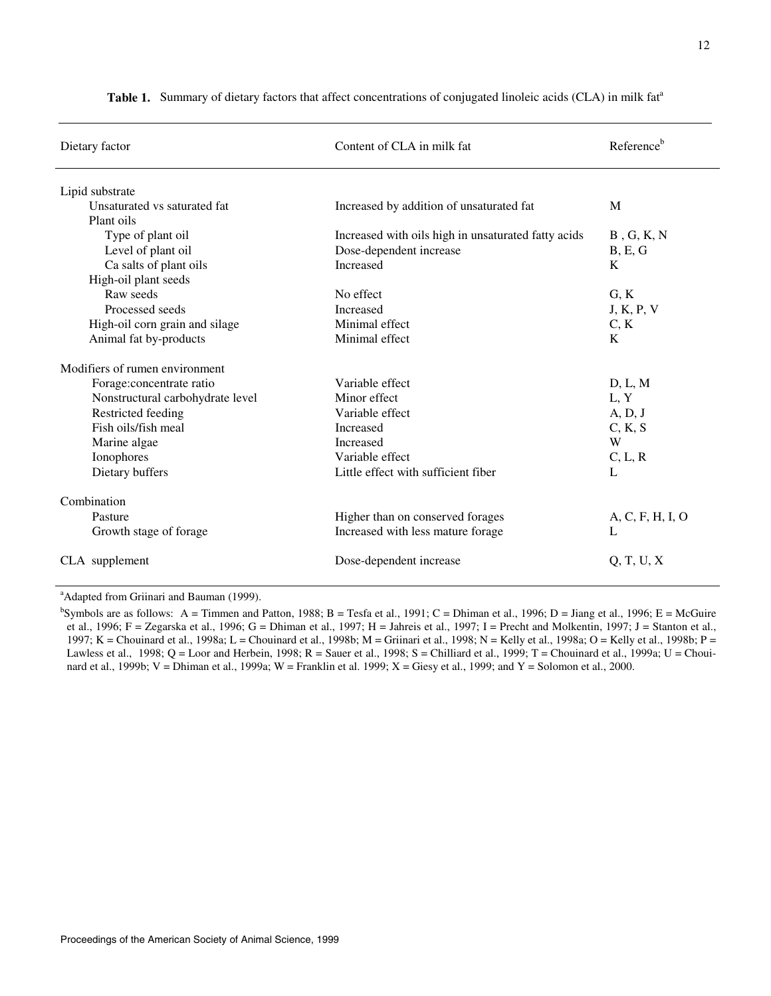| Dietary factor                   | Content of CLA in milk fat                          | Reference <sup>b</sup> |
|----------------------------------|-----------------------------------------------------|------------------------|
| Lipid substrate                  |                                                     |                        |
| Unsaturated vs saturated fat     | Increased by addition of unsaturated fat            | M                      |
| Plant oils                       |                                                     |                        |
| Type of plant oil                | Increased with oils high in unsaturated fatty acids | $B$ , G, K, N          |
| Level of plant oil               | Dose-dependent increase                             | B, E, G                |
| Ca salts of plant oils           | Increased                                           | K                      |
| High-oil plant seeds             |                                                     |                        |
| Raw seeds                        | No effect                                           | G, K                   |
| Processed seeds                  | <b>Increased</b>                                    | J, K, P, V             |
| High-oil corn grain and silage   | Minimal effect                                      | C, K                   |
| Animal fat by-products           | Minimal effect                                      | K                      |
| Modifiers of rumen environment   |                                                     |                        |
| Forage:concentrate ratio         | Variable effect                                     | D, L, M                |
| Nonstructural carbohydrate level | Minor effect                                        | L, Y                   |
| Restricted feeding               | Variable effect                                     | A, D, J                |
| Fish oils/fish meal              | Increased                                           | C, K, S                |
| Marine algae                     | Increased                                           | W                      |
| Ionophores                       | Variable effect                                     | C, L, R                |
| Dietary buffers                  | Little effect with sufficient fiber                 | L                      |
| Combination                      |                                                     |                        |
| Pasture                          | Higher than on conserved forages                    | A, C, F, H, I, O       |
| Growth stage of forage           | Increased with less mature forage                   | L                      |
| CLA supplement                   | Dose-dependent increase                             | Q, T, U, X             |

Table 1. Summary of dietary factors that affect concentrations of conjugated linoleic acids (CLA) in milk fat<sup>a</sup>

<sup>a</sup> Adapted from Griinari and Bauman (1999).

 $b$ Symbols are as follows: A = Timmen and Patton, 1988; B = Tesfa et al., 1991; C = Dhiman et al., 1996; D = Jiang et al., 1996; E = McGuire et al., 1996; F = Zegarska et al., 1996; G = Dhiman et al., 1997; H = Jahreis et al., 1997; I = Precht and Molkentin, 1997; J = Stanton et al., 1997; K = Chouinard et al., 1998a; L = Chouinard et al., 1998b; M = Griinari et al., 1998; N = Kelly et al., 1998a; O = Kelly et al., 1998b; P = Lawless et al., 1998; Q = Loor and Herbein, 1998; R = Sauer et al., 1998; S = Chilliard et al., 1999; T = Chouinard et al., 1999a; U = Chouinard et al., 1999b; V = Dhiman et al., 1999a; W = Franklin et al. 1999; X = Giesy et al., 1999; and Y = Solomon et al., 2000.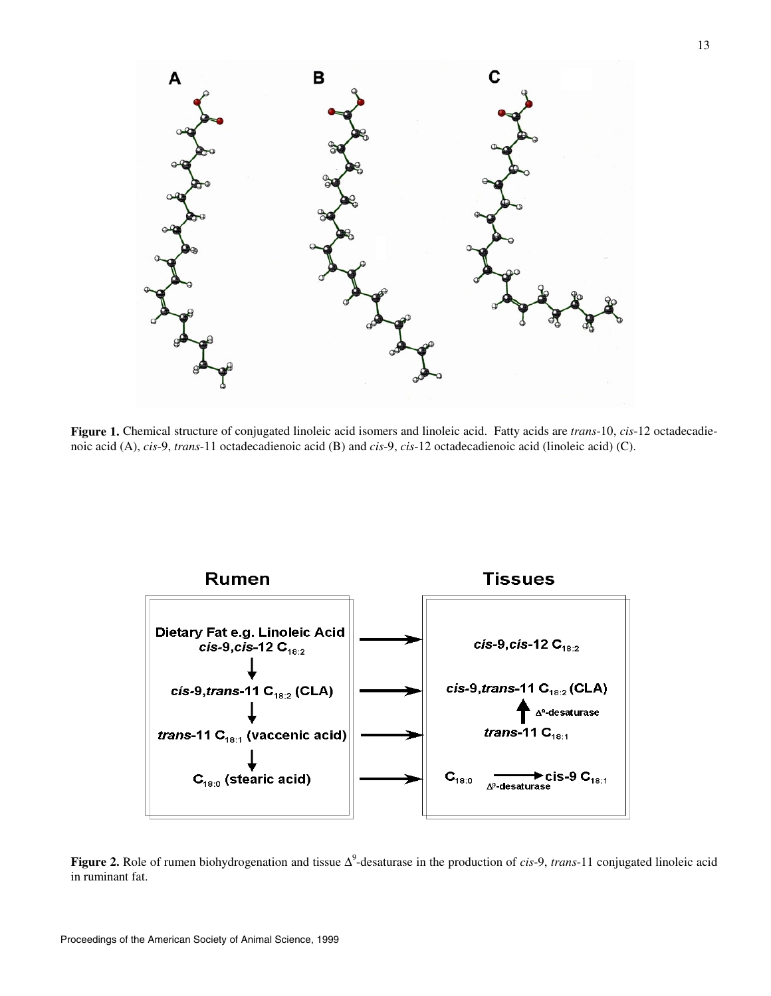

**Figure 1.** Chemical structure of conjugated linoleic acid isomers and linoleic acid. Fatty acids are *trans*-10, *cis*-12 octadecadienoic acid (A), *cis*-9, *trans*-11 octadecadienoic acid (B) and *cis*-9, *cis*-12 octadecadienoic acid (linoleic acid) (C).



**Figure 2.** Role of rumen biohydrogenation and tissue ∆<sup>9</sup> -desaturase in the production of *cis*-9, *trans*-11 conjugated linoleic acid in ruminant fat.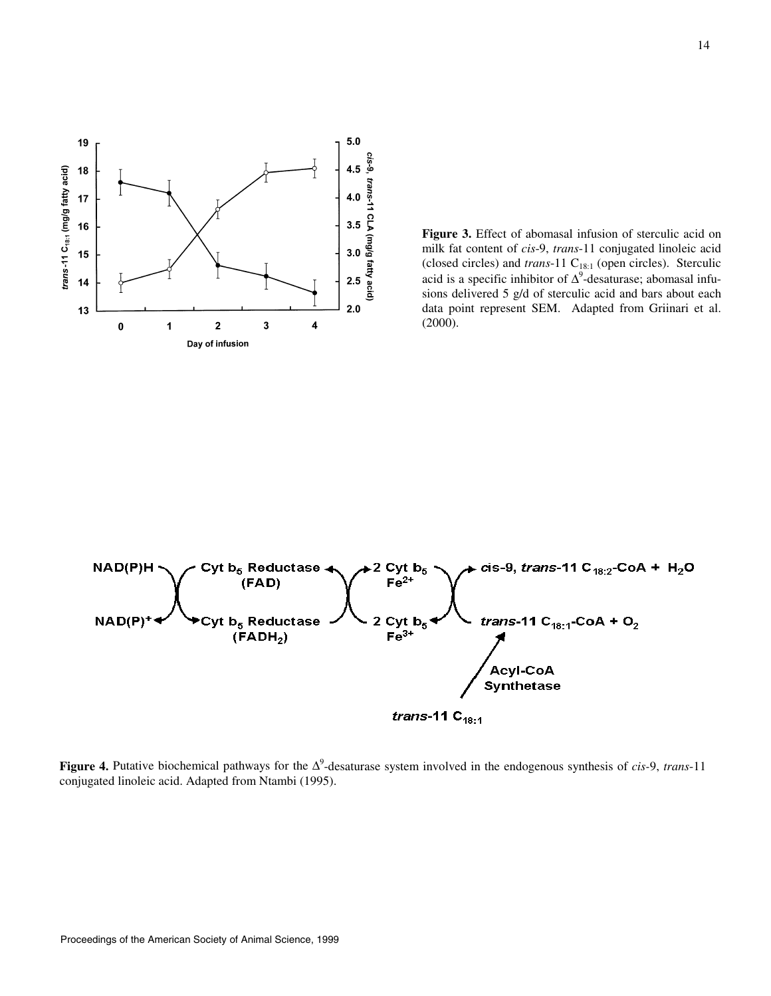

**Figure 3.** Effect of abomasal infusion of sterculic acid on milk fat content of *cis*-9, *trans*-11 conjugated linoleic acid (closed circles) and *trans*-11 C<sub>18:1</sub> (open circles). Sterculic acid is a specific inhibitor of  $\Delta^9$ -desaturase; abomasal infusions delivered 5 g/d of sterculic acid and bars about each data point represent SEM. Adapted from Griinari et al. (2000).



**Figure 4.** Putative biochemical pathways for the ∆<sup>9</sup> -desaturase system involved in the endogenous synthesis of *cis-*9, *trans*-11 conjugated linoleic acid. Adapted from Ntambi (1995).